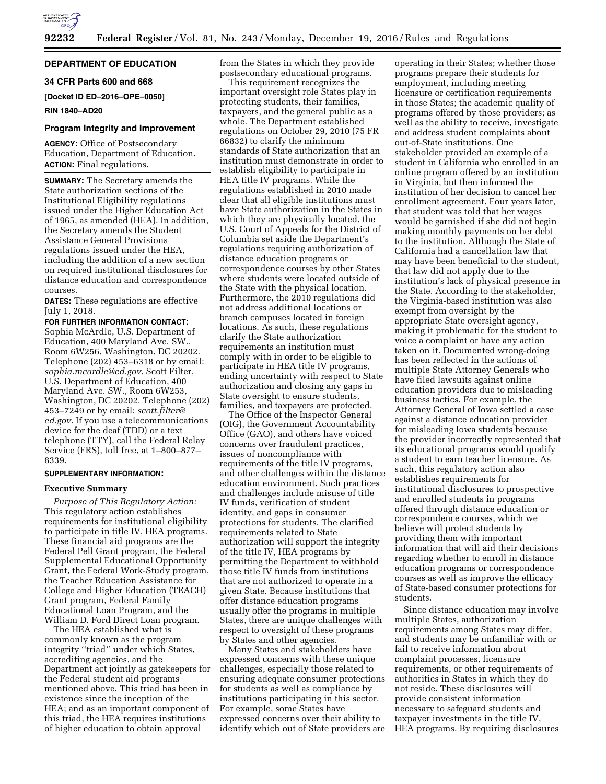

# **DEPARTMENT OF EDUCATION**

## **34 CFR Parts 600 and 668**

**[Docket ID ED–2016–OPE–0050]** 

### **RIN 1840–AD20**

## **Program Integrity and Improvement**

**AGENCY:** Office of Postsecondary Education, Department of Education. **ACTION:** Final regulations.

**SUMMARY:** The Secretary amends the State authorization sections of the Institutional Eligibility regulations issued under the Higher Education Act of 1965, as amended (HEA). In addition, the Secretary amends the Student Assistance General Provisions regulations issued under the HEA, including the addition of a new section on required institutional disclosures for distance education and correspondence courses.

**DATES:** These regulations are effective July 1, 2018.

**FOR FURTHER INFORMATION CONTACT:**  Sophia McArdle, U.S. Department of Education, 400 Maryland Ave. SW., Room 6W256, Washington, DC 20202. Telephone (202) 453–6318 or by email: *[sophia.mcardle@ed.gov.](mailto:sophia.mcardle@ed.gov)* Scott Filter, U.S. Department of Education, 400 Maryland Ave. SW., Room 6W253, Washington, DC 20202. Telephone (202) 453–7249 or by email: *[scott.filter@](mailto:scott.filter@ed.gov) [ed.gov.](mailto:scott.filter@ed.gov)* If you use a telecommunications device for the deaf (TDD) or a text telephone (TTY), call the Federal Relay Service (FRS), toll free, at 1–800–877– 8339.

# **SUPPLEMENTARY INFORMATION:**

## **Executive Summary**

*Purpose of This Regulatory Action:*  This regulatory action establishes requirements for institutional eligibility to participate in title IV, HEA programs. These financial aid programs are the Federal Pell Grant program, the Federal Supplemental Educational Opportunity Grant, the Federal Work-Study program, the Teacher Education Assistance for College and Higher Education (TEACH) Grant program, Federal Family Educational Loan Program, and the William D. Ford Direct Loan program.

The HEA established what is commonly known as the program integrity ''triad'' under which States, accrediting agencies, and the Department act jointly as gatekeepers for the Federal student aid programs mentioned above. This triad has been in existence since the inception of the HEA; and as an important component of this triad, the HEA requires institutions of higher education to obtain approval

from the States in which they provide postsecondary educational programs.

This requirement recognizes the important oversight role States play in protecting students, their families, taxpayers, and the general public as a whole. The Department established regulations on October 29, 2010 (75 FR 66832) to clarify the minimum standards of State authorization that an institution must demonstrate in order to establish eligibility to participate in HEA title IV programs. While the regulations established in 2010 made clear that all eligible institutions must have State authorization in the States in which they are physically located, the U.S. Court of Appeals for the District of Columbia set aside the Department's regulations requiring authorization of distance education programs or correspondence courses by other States where students were located outside of the State with the physical location. Furthermore, the 2010 regulations did not address additional locations or branch campuses located in foreign locations. As such, these regulations clarify the State authorization requirements an institution must comply with in order to be eligible to participate in HEA title IV programs, ending uncertainty with respect to State authorization and closing any gaps in State oversight to ensure students, families, and taxpayers are protected.

The Office of the Inspector General (OIG), the Government Accountability Office (GAO), and others have voiced concerns over fraudulent practices, issues of noncompliance with requirements of the title IV programs, and other challenges within the distance education environment. Such practices and challenges include misuse of title IV funds, verification of student identity, and gaps in consumer protections for students. The clarified requirements related to State authorization will support the integrity of the title IV, HEA programs by permitting the Department to withhold those title IV funds from institutions that are not authorized to operate in a given State. Because institutions that offer distance education programs usually offer the programs in multiple States, there are unique challenges with respect to oversight of these programs by States and other agencies.

Many States and stakeholders have expressed concerns with these unique challenges, especially those related to ensuring adequate consumer protections for students as well as compliance by institutions participating in this sector. For example, some States have expressed concerns over their ability to identify which out of State providers are

operating in their States; whether those programs prepare their students for employment, including meeting licensure or certification requirements in those States; the academic quality of programs offered by those providers; as well as the ability to receive, investigate and address student complaints about out-of-State institutions. One stakeholder provided an example of a student in California who enrolled in an online program offered by an institution in Virginia, but then informed the institution of her decision to cancel her enrollment agreement. Four years later, that student was told that her wages would be garnished if she did not begin making monthly payments on her debt to the institution. Although the State of California had a cancellation law that may have been beneficial to the student, that law did not apply due to the institution's lack of physical presence in the State. According to the stakeholder, the Virginia-based institution was also exempt from oversight by the appropriate State oversight agency, making it problematic for the student to voice a complaint or have any action taken on it. Documented wrong-doing has been reflected in the actions of multiple State Attorney Generals who have filed lawsuits against online education providers due to misleading business tactics. For example, the Attorney General of Iowa settled a case against a distance education provider for misleading Iowa students because the provider incorrectly represented that its educational programs would qualify a student to earn teacher licensure. As such, this regulatory action also establishes requirements for institutional disclosures to prospective and enrolled students in programs offered through distance education or correspondence courses, which we believe will protect students by providing them with important information that will aid their decisions regarding whether to enroll in distance education programs or correspondence courses as well as improve the efficacy of State-based consumer protections for students.

Since distance education may involve multiple States, authorization requirements among States may differ, and students may be unfamiliar with or fail to receive information about complaint processes, licensure requirements, or other requirements of authorities in States in which they do not reside. These disclosures will provide consistent information necessary to safeguard students and taxpayer investments in the title IV, HEA programs. By requiring disclosures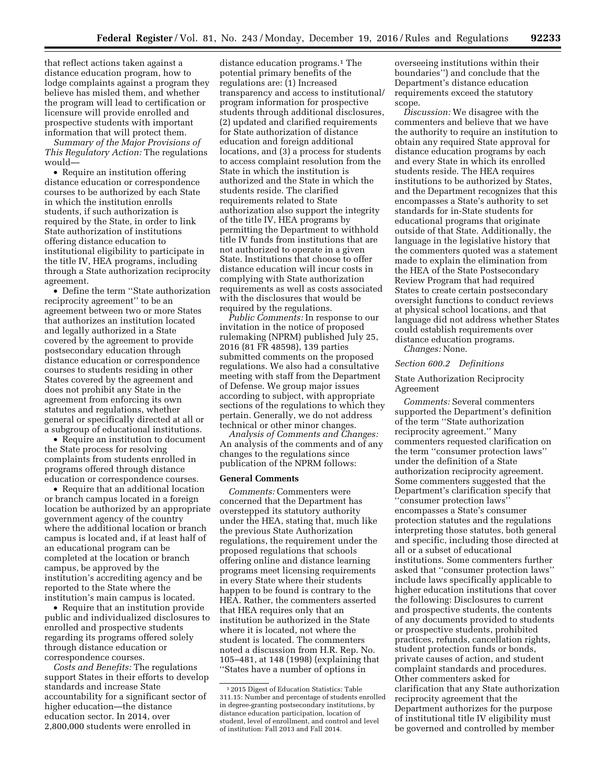that reflect actions taken against a distance education program, how to lodge complaints against a program they believe has misled them, and whether the program will lead to certification or licensure will provide enrolled and prospective students with important information that will protect them.

*Summary of the Major Provisions of This Regulatory Action:* The regulations would—

• Require an institution offering distance education or correspondence courses to be authorized by each State in which the institution enrolls students, if such authorization is required by the State, in order to link State authorization of institutions offering distance education to institutional eligibility to participate in the title IV, HEA programs, including through a State authorization reciprocity agreement.

• Define the term ''State authorization reciprocity agreement'' to be an agreement between two or more States that authorizes an institution located and legally authorized in a State covered by the agreement to provide postsecondary education through distance education or correspondence courses to students residing in other States covered by the agreement and does not prohibit any State in the agreement from enforcing its own statutes and regulations, whether general or specifically directed at all or a subgroup of educational institutions.

• Require an institution to document the State process for resolving complaints from students enrolled in programs offered through distance education or correspondence courses.

• Require that an additional location or branch campus located in a foreign location be authorized by an appropriate government agency of the country where the additional location or branch campus is located and, if at least half of an educational program can be completed at the location or branch campus, be approved by the institution's accrediting agency and be reported to the State where the institution's main campus is located.

• Require that an institution provide public and individualized disclosures to enrolled and prospective students regarding its programs offered solely through distance education or correspondence courses.

*Costs and Benefits:* The regulations support States in their efforts to develop standards and increase State accountability for a significant sector of higher education—the distance education sector. In 2014, over 2,800,000 students were enrolled in

distance education programs.1 The potential primary benefits of the regulations are: (1) Increased transparency and access to institutional/ program information for prospective students through additional disclosures, (2) updated and clarified requirements for State authorization of distance education and foreign additional locations, and (3) a process for students to access complaint resolution from the State in which the institution is authorized and the State in which the students reside. The clarified requirements related to State authorization also support the integrity of the title IV, HEA programs by permitting the Department to withhold title IV funds from institutions that are not authorized to operate in a given State. Institutions that choose to offer distance education will incur costs in complying with State authorization requirements as well as costs associated with the disclosures that would be required by the regulations.

*Public Comments:* In response to our invitation in the notice of proposed rulemaking (NPRM) published July 25, 2016 (81 FR 48598), 139 parties submitted comments on the proposed regulations. We also had a consultative meeting with staff from the Department of Defense. We group major issues according to subject, with appropriate sections of the regulations to which they pertain. Generally, we do not address technical or other minor changes.

*Analysis of Comments and Changes:*  An analysis of the comments and of any changes to the regulations since publication of the NPRM follows:

#### **General Comments**

*Comments:* Commenters were concerned that the Department has overstepped its statutory authority under the HEA, stating that, much like the previous State Authorization regulations, the requirement under the proposed regulations that schools offering online and distance learning programs meet licensing requirements in every State where their students happen to be found is contrary to the HEA. Rather, the commenters asserted that HEA requires only that an institution be authorized in the State where it is located, not where the student is located. The commenters noted a discussion from H.R. Rep. No. 105–481, at 148 (1998) (explaining that ''States have a number of options in

overseeing institutions within their boundaries'') and conclude that the Department's distance education requirements exceed the statutory scope.

*Discussion:* We disagree with the commenters and believe that we have the authority to require an institution to obtain any required State approval for distance education programs by each and every State in which its enrolled students reside. The HEA requires institutions to be authorized by States, and the Department recognizes that this encompasses a State's authority to set standards for in-State students for educational programs that originate outside of that State. Additionally, the language in the legislative history that the commenters quoted was a statement made to explain the elimination from the HEA of the State Postsecondary Review Program that had required States to create certain postsecondary oversight functions to conduct reviews at physical school locations, and that language did not address whether States could establish requirements over distance education programs. *Changes:* None.

# *Section 600.2 Definitions*

## State Authorization Reciprocity Agreement

*Comments:* Several commenters supported the Department's definition of the term ''State authorization reciprocity agreement.'' Many commenters requested clarification on the term ''consumer protection laws'' under the definition of a State authorization reciprocity agreement. Some commenters suggested that the Department's clarification specify that ''consumer protection laws'' encompasses a State's consumer protection statutes and the regulations interpreting those statutes, both general and specific, including those directed at all or a subset of educational institutions. Some commenters further asked that ''consumer protection laws'' include laws specifically applicable to higher education institutions that cover the following: Disclosures to current and prospective students, the contents of any documents provided to students or prospective students, prohibited practices, refunds, cancellation rights, student protection funds or bonds, private causes of action, and student complaint standards and procedures. Other commenters asked for clarification that any State authorization reciprocity agreement that the Department authorizes for the purpose of institutional title IV eligibility must be governed and controlled by member

<sup>1</sup> 2015 Digest of Education Statistics: Table 311.15: Number and percentage of students enrolled in degree-granting postsecondary institutions, by distance education participation, location of student, level of enrollment, and control and level of institution: Fall 2013 and Fall 2014.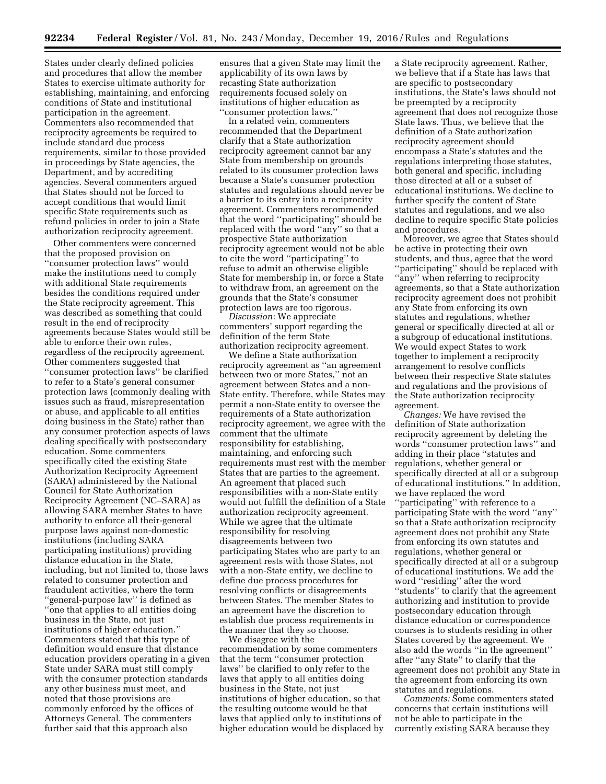States under clearly defined policies and procedures that allow the member States to exercise ultimate authority for establishing, maintaining, and enforcing conditions of State and institutional participation in the agreement. Commenters also recommended that reciprocity agreements be required to include standard due process requirements, similar to those provided in proceedings by State agencies, the Department, and by accrediting agencies. Several commenters argued that States should not be forced to accept conditions that would limit specific State requirements such as refund policies in order to join a State authorization reciprocity agreement.

Other commenters were concerned that the proposed provision on ''consumer protection laws'' would make the institutions need to comply with additional State requirements besides the conditions required under the State reciprocity agreement. This was described as something that could result in the end of reciprocity agreements because States would still be able to enforce their own rules, regardless of the reciprocity agreement. Other commenters suggested that ''consumer protection laws'' be clarified to refer to a State's general consumer protection laws (commonly dealing with issues such as fraud, misrepresentation or abuse, and applicable to all entities doing business in the State) rather than any consumer protection aspects of laws dealing specifically with postsecondary education. Some commenters specifically cited the existing State Authorization Reciprocity Agreement (SARA) administered by the National Council for State Authorization Reciprocity Agreement (NC–SARA) as allowing SARA member States to have authority to enforce all their-general purpose laws against non-domestic institutions (including SARA participating institutions) providing distance education in the State, including, but not limited to, those laws related to consumer protection and fraudulent activities, where the term ''general-purpose law'' is defined as ''one that applies to all entities doing business in the State, not just institutions of higher education.'' Commenters stated that this type of definition would ensure that distance education providers operating in a given State under SARA must still comply with the consumer protection standards any other business must meet, and noted that those provisions are commonly enforced by the offices of Attorneys General. The commenters further said that this approach also

ensures that a given State may limit the applicability of its own laws by recasting State authorization requirements focused solely on institutions of higher education as ''consumer protection laws.''

In a related vein, commenters recommended that the Department clarify that a State authorization reciprocity agreement cannot bar any State from membership on grounds related to its consumer protection laws because a State's consumer protection statutes and regulations should never be a barrier to its entry into a reciprocity agreement. Commenters recommended that the word ''participating'' should be replaced with the word ''any'' so that a prospective State authorization reciprocity agreement would not be able to cite the word ''participating'' to refuse to admit an otherwise eligible State for membership in, or force a State to withdraw from, an agreement on the grounds that the State's consumer protection laws are too rigorous.

*Discussion:* We appreciate commenters' support regarding the definition of the term State authorization reciprocity agreement.

We define a State authorization reciprocity agreement as ''an agreement between two or more States,'' not an agreement between States and a non-State entity. Therefore, while States may permit a non-State entity to oversee the requirements of a State authorization reciprocity agreement, we agree with the comment that the ultimate responsibility for establishing, maintaining, and enforcing such requirements must rest with the member States that are parties to the agreement. An agreement that placed such responsibilities with a non-State entity would not fulfill the definition of a State authorization reciprocity agreement. While we agree that the ultimate responsibility for resolving disagreements between two participating States who are party to an agreement rests with those States, not with a non-State entity, we decline to define due process procedures for resolving conflicts or disagreements between States. The member States to an agreement have the discretion to establish due process requirements in the manner that they so choose.

We disagree with the recommendation by some commenters that the term ''consumer protection laws'' be clarified to only refer to the laws that apply to all entities doing business in the State, not just institutions of higher education, so that the resulting outcome would be that laws that applied only to institutions of higher education would be displaced by a State reciprocity agreement. Rather, we believe that if a State has laws that are specific to postsecondary institutions, the State's laws should not be preempted by a reciprocity agreement that does not recognize those State laws. Thus, we believe that the definition of a State authorization reciprocity agreement should encompass a State's statutes and the regulations interpreting those statutes, both general and specific, including those directed at all or a subset of educational institutions. We decline to further specify the content of State statutes and regulations, and we also decline to require specific State policies and procedures.

Moreover, we agree that States should be active in protecting their own students, and thus, agree that the word ''participating'' should be replaced with ''any'' when referring to reciprocity agreements, so that a State authorization reciprocity agreement does not prohibit any State from enforcing its own statutes and regulations, whether general or specifically directed at all or a subgroup of educational institutions. We would expect States to work together to implement a reciprocity arrangement to resolve conflicts between their respective State statutes and regulations and the provisions of the State authorization reciprocity agreement.

*Changes:* We have revised the definition of State authorization reciprocity agreement by deleting the words ''consumer protection laws'' and adding in their place ''statutes and regulations, whether general or specifically directed at all or a subgroup of educational institutions.'' In addition, we have replaced the word ''participating'' with reference to a participating State with the word ''any'' so that a State authorization reciprocity agreement does not prohibit any State from enforcing its own statutes and regulations, whether general or specifically directed at all or a subgroup of educational institutions. We add the word ''residing'' after the word ''students'' to clarify that the agreement authorizing and institution to provide postsecondary education through distance education or correspondence courses is to students residing in other States covered by the agreement. We also add the words ''in the agreement'' after ''any State'' to clarify that the agreement does not prohibit any State in the agreement from enforcing its own statutes and regulations.

*Comments:* Some commenters stated concerns that certain institutions will not be able to participate in the currently existing SARA because they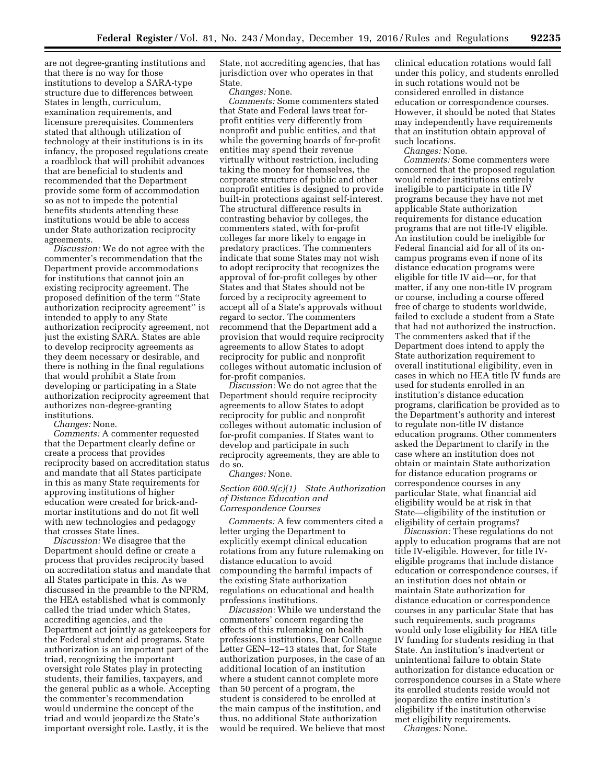are not degree-granting institutions and that there is no way for those institutions to develop a SARA-type structure due to differences between States in length, curriculum, examination requirements, and licensure prerequisites. Commenters stated that although utilization of technology at their institutions is in its infancy, the proposed regulations create a roadblock that will prohibit advances that are beneficial to students and recommended that the Department provide some form of accommodation so as not to impede the potential benefits students attending these institutions would be able to access under State authorization reciprocity agreements.

*Discussion:* We do not agree with the commenter's recommendation that the Department provide accommodations for institutions that cannot join an existing reciprocity agreement. The proposed definition of the term ''State authorization reciprocity agreement'' is intended to apply to any State authorization reciprocity agreement, not just the existing SARA. States are able to develop reciprocity agreements as they deem necessary or desirable, and there is nothing in the final regulations that would prohibit a State from developing or participating in a State authorization reciprocity agreement that authorizes non-degree-granting institutions.

*Changes:* None.

*Comments:* A commenter requested that the Department clearly define or create a process that provides reciprocity based on accreditation status and mandate that all States participate in this as many State requirements for approving institutions of higher education were created for brick-andmortar institutions and do not fit well with new technologies and pedagogy that crosses State lines.

*Discussion:* We disagree that the Department should define or create a process that provides reciprocity based on accreditation status and mandate that all States participate in this. As we discussed in the preamble to the NPRM, the HEA established what is commonly called the triad under which States, accrediting agencies, and the Department act jointly as gatekeepers for the Federal student aid programs. State authorization is an important part of the triad, recognizing the important oversight role States play in protecting students, their families, taxpayers, and the general public as a whole. Accepting the commenter's recommendation would undermine the concept of the triad and would jeopardize the State's important oversight role. Lastly, it is the

State, not accrediting agencies, that has jurisdiction over who operates in that State.

*Changes:* None.

*Comments:* Some commenters stated that State and Federal laws treat forprofit entities very differently from nonprofit and public entities, and that while the governing boards of for-profit entities may spend their revenue virtually without restriction, including taking the money for themselves, the corporate structure of public and other nonprofit entities is designed to provide built-in protections against self-interest. The structural difference results in contrasting behavior by colleges, the commenters stated, with for-profit colleges far more likely to engage in predatory practices. The commenters indicate that some States may not wish to adopt reciprocity that recognizes the approval of for-profit colleges by other States and that States should not be forced by a reciprocity agreement to accept all of a State's approvals without regard to sector. The commenters recommend that the Department add a provision that would require reciprocity agreements to allow States to adopt reciprocity for public and nonprofit colleges without automatic inclusion of for-profit companies.

*Discussion:* We do not agree that the Department should require reciprocity agreements to allow States to adopt reciprocity for public and nonprofit colleges without automatic inclusion of for-profit companies. If States want to develop and participate in such reciprocity agreements, they are able to do so.

### *Changes:* None.

## *Section 600.9(c)(1) State Authorization of Distance Education and Correspondence Courses*

*Comments:* A few commenters cited a letter urging the Department to explicitly exempt clinical education rotations from any future rulemaking on distance education to avoid compounding the harmful impacts of the existing State authorization regulations on educational and health professions institutions.

*Discussion:* While we understand the commenters' concern regarding the effects of this rulemaking on health professions institutions, Dear Colleague Letter GEN–12–13 states that, for State authorization purposes, in the case of an additional location of an institution where a student cannot complete more than 50 percent of a program, the student is considered to be enrolled at the main campus of the institution, and thus, no additional State authorization would be required. We believe that most clinical education rotations would fall under this policy, and students enrolled in such rotations would not be considered enrolled in distance education or correspondence courses. However, it should be noted that States may independently have requirements that an institution obtain approval of such locations.

*Changes:* None.

*Comments:* Some commenters were concerned that the proposed regulation would render institutions entirely ineligible to participate in title IV programs because they have not met applicable State authorization requirements for distance education programs that are not title-IV eligible. An institution could be ineligible for Federal financial aid for all of its oncampus programs even if none of its distance education programs were eligible for title IV aid—or, for that matter, if any one non-title IV program or course, including a course offered free of charge to students worldwide, failed to exclude a student from a State that had not authorized the instruction. The commenters asked that if the Department does intend to apply the State authorization requirement to overall institutional eligibility, even in cases in which no HEA title IV funds are used for students enrolled in an institution's distance education programs, clarification be provided as to the Department's authority and interest to regulate non-title IV distance education programs. Other commenters asked the Department to clarify in the case where an institution does not obtain or maintain State authorization for distance education programs or correspondence courses in any particular State, what financial aid eligibility would be at risk in that State—eligibility of the institution or eligibility of certain programs?

*Discussion:* These regulations do not apply to education programs that are not title IV-eligible. However, for title IVeligible programs that include distance education or correspondence courses, if an institution does not obtain or maintain State authorization for distance education or correspondence courses in any particular State that has such requirements, such programs would only lose eligibility for HEA title IV funding for students residing in that State. An institution's inadvertent or unintentional failure to obtain State authorization for distance education or correspondence courses in a State where its enrolled students reside would not jeopardize the entire institution's eligibility if the institution otherwise met eligibility requirements. *Changes:* None.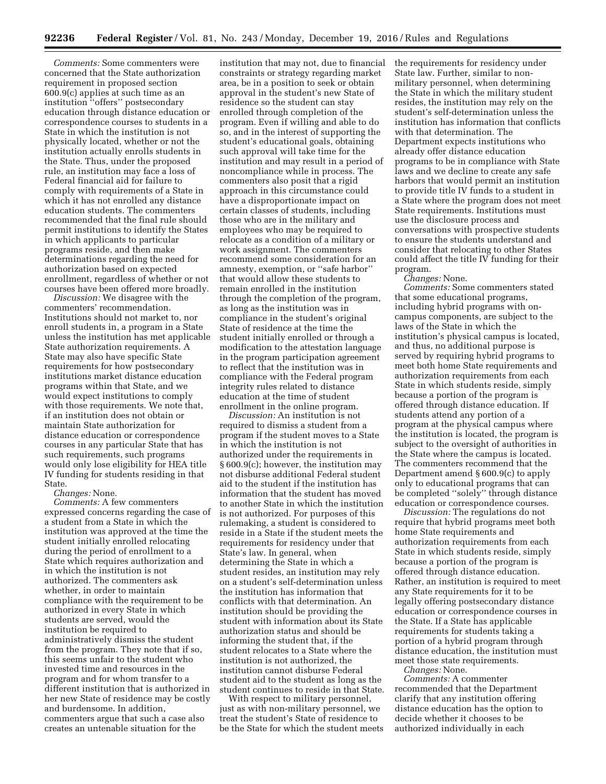*Comments:* Some commenters were concerned that the State authorization requirement in proposed section 600.9(c) applies at such time as an institution ''offers'' postsecondary education through distance education or correspondence courses to students in a State in which the institution is not physically located, whether or not the institution actually enrolls students in the State. Thus, under the proposed rule, an institution may face a loss of Federal financial aid for failure to comply with requirements of a State in which it has not enrolled any distance education students. The commenters recommended that the final rule should permit institutions to identify the States in which applicants to particular programs reside, and then make determinations regarding the need for authorization based on expected enrollment, regardless of whether or not courses have been offered more broadly.

*Discussion:* We disagree with the commenters' recommendation. Institutions should not market to, nor enroll students in, a program in a State unless the institution has met applicable State authorization requirements. A State may also have specific State requirements for how postsecondary institutions market distance education programs within that State, and we would expect institutions to comply with those requirements. We note that, if an institution does not obtain or maintain State authorization for distance education or correspondence courses in any particular State that has such requirements, such programs would only lose eligibility for HEA title IV funding for students residing in that State.

## *Changes:* None.

*Comments:* A few commenters expressed concerns regarding the case of a student from a State in which the institution was approved at the time the student initially enrolled relocating during the period of enrollment to a State which requires authorization and in which the institution is not authorized. The commenters ask whether, in order to maintain compliance with the requirement to be authorized in every State in which students are served, would the institution be required to administratively dismiss the student from the program. They note that if so, this seems unfair to the student who invested time and resources in the program and for whom transfer to a different institution that is authorized in her new State of residence may be costly and burdensome. In addition, commenters argue that such a case also creates an untenable situation for the

institution that may not, due to financial constraints or strategy regarding market area, be in a position to seek or obtain approval in the student's new State of residence so the student can stay enrolled through completion of the program. Even if willing and able to do so, and in the interest of supporting the student's educational goals, obtaining such approval will take time for the institution and may result in a period of noncompliance while in process. The commenters also posit that a rigid approach in this circumstance could have a disproportionate impact on certain classes of students, including those who are in the military and employees who may be required to relocate as a condition of a military or work assignment. The commenters recommend some consideration for an amnesty, exemption, or ''safe harbor'' that would allow these students to remain enrolled in the institution through the completion of the program, as long as the institution was in compliance in the student's original State of residence at the time the student initially enrolled or through a modification to the attestation language in the program participation agreement to reflect that the institution was in compliance with the Federal program integrity rules related to distance education at the time of student enrollment in the online program.

*Discussion:* An institution is not required to dismiss a student from a program if the student moves to a State in which the institution is not authorized under the requirements in § 600.9(c); however, the institution may not disburse additional Federal student aid to the student if the institution has information that the student has moved to another State in which the institution is not authorized. For purposes of this rulemaking, a student is considered to reside in a State if the student meets the requirements for residency under that State's law. In general, when determining the State in which a student resides, an institution may rely on a student's self-determination unless the institution has information that conflicts with that determination. An institution should be providing the student with information about its State authorization status and should be informing the student that, if the student relocates to a State where the institution is not authorized, the institution cannot disburse Federal student aid to the student as long as the student continues to reside in that State.

With respect to military personnel, just as with non-military personnel, we treat the student's State of residence to be the State for which the student meets the requirements for residency under State law. Further, similar to nonmilitary personnel, when determining the State in which the military student resides, the institution may rely on the student's self-determination unless the institution has information that conflicts with that determination. The Department expects institutions who already offer distance education programs to be in compliance with State laws and we decline to create any safe harbors that would permit an institution to provide title IV funds to a student in a State where the program does not meet State requirements. Institutions must use the disclosure process and conversations with prospective students to ensure the students understand and consider that relocating to other States could affect the title IV funding for their program.

*Changes:* None.

*Comments:* Some commenters stated that some educational programs, including hybrid programs with oncampus components, are subject to the laws of the State in which the institution's physical campus is located, and thus, no additional purpose is served by requiring hybrid programs to meet both home State requirements and authorization requirements from each State in which students reside, simply because a portion of the program is offered through distance education. If students attend any portion of a program at the physical campus where the institution is located, the program is subject to the oversight of authorities in the State where the campus is located. The commenters recommend that the Department amend § 600.9(c) to apply only to educational programs that can be completed ''solely'' through distance education or correspondence courses.

*Discussion:* The regulations do not require that hybrid programs meet both home State requirements and authorization requirements from each State in which students reside, simply because a portion of the program is offered through distance education. Rather, an institution is required to meet any State requirements for it to be legally offering postsecondary distance education or correspondence courses in the State. If a State has applicable requirements for students taking a portion of a hybrid program through distance education, the institution must meet those state requirements.

*Changes:* None.

*Comments:* A commenter recommended that the Department clarify that any institution offering distance education has the option to decide whether it chooses to be authorized individually in each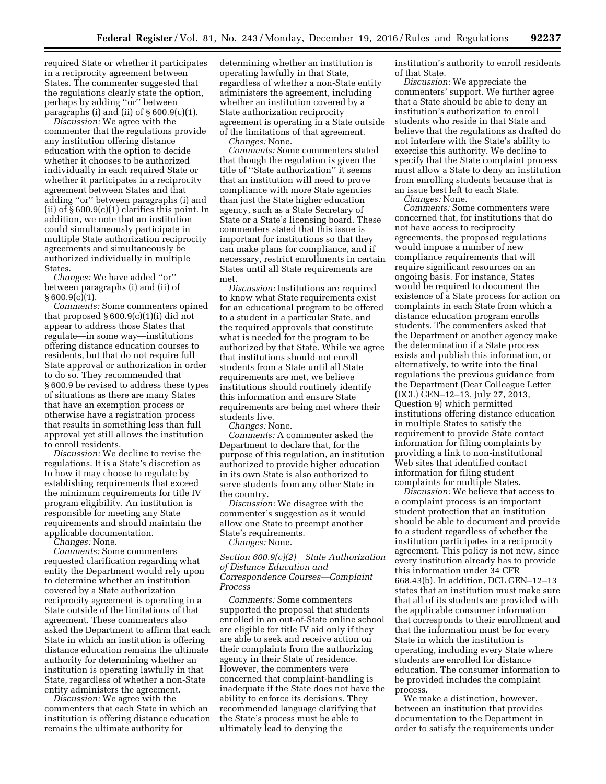required State or whether it participates in a reciprocity agreement between States. The commenter suggested that the regulations clearly state the option, perhaps by adding ''or'' between paragraphs (i) and (ii) of  $\S 600.9(c)(1)$ .

*Discussion:* We agree with the commenter that the regulations provide any institution offering distance education with the option to decide whether it chooses to be authorized individually in each required State or whether it participates in a reciprocity agreement between States and that adding ''or'' between paragraphs (i) and (ii) of  $\S 600.9(c)(1)$  clarifies this point. In addition, we note that an institution could simultaneously participate in multiple State authorization reciprocity agreements and simultaneously be authorized individually in multiple States.

*Changes:* We have added ''or'' between paragraphs (i) and (ii) of  $§ 600.9(c)(1).$ 

*Comments:* Some commenters opined that proposed  $\S 600.9(c)(1)(i)$  did not appear to address those States that regulate—in some way—institutions offering distance education courses to residents, but that do not require full State approval or authorization in order to do so. They recommended that § 600.9 be revised to address these types of situations as there are many States that have an exemption process or otherwise have a registration process that results in something less than full approval yet still allows the institution to enroll residents.

*Discussion:* We decline to revise the regulations. It is a State's discretion as to how it may choose to regulate by establishing requirements that exceed the minimum requirements for title IV program eligibility. An institution is responsible for meeting any State requirements and should maintain the applicable documentation.

*Changes:* None.

*Comments:* Some commenters requested clarification regarding what entity the Department would rely upon to determine whether an institution covered by a State authorization reciprocity agreement is operating in a State outside of the limitations of that agreement. These commenters also asked the Department to affirm that each State in which an institution is offering distance education remains the ultimate authority for determining whether an institution is operating lawfully in that State, regardless of whether a non-State entity administers the agreement.

*Discussion:* We agree with the commenters that each State in which an institution is offering distance education remains the ultimate authority for

determining whether an institution is operating lawfully in that State, regardless of whether a non-State entity administers the agreement, including whether an institution covered by a State authorization reciprocity agreement is operating in a State outside of the limitations of that agreement.

*Changes:* None.

*Comments:* Some commenters stated that though the regulation is given the title of ''State authorization'' it seems that an institution will need to prove compliance with more State agencies than just the State higher education agency, such as a State Secretary of State or a State's licensing board. These commenters stated that this issue is important for institutions so that they can make plans for compliance, and if necessary, restrict enrollments in certain States until all State requirements are met.

*Discussion:* Institutions are required to know what State requirements exist for an educational program to be offered to a student in a particular State, and the required approvals that constitute what is needed for the program to be authorized by that State. While we agree that institutions should not enroll students from a State until all State requirements are met, we believe institutions should routinely identify this information and ensure State requirements are being met where their students live.

*Changes:* None.

*Comments:* A commenter asked the Department to declare that, for the purpose of this regulation, an institution authorized to provide higher education in its own State is also authorized to serve students from any other State in the country.

*Discussion:* We disagree with the commenter's suggestion as it would allow one State to preempt another State's requirements.

*Changes:* None.

# *Section 600.9(c)(2) State Authorization of Distance Education and Correspondence Courses—Complaint Process*

*Comments:* Some commenters supported the proposal that students enrolled in an out-of-State online school are eligible for title IV aid only if they are able to seek and receive action on their complaints from the authorizing agency in their State of residence. However, the commenters were concerned that complaint-handling is inadequate if the State does not have the ability to enforce its decisions. They recommended language clarifying that the State's process must be able to ultimately lead to denying the

institution's authority to enroll residents of that State.

*Discussion:* We appreciate the commenters' support. We further agree that a State should be able to deny an institution's authorization to enroll students who reside in that State and believe that the regulations as drafted do not interfere with the State's ability to exercise this authority. We decline to specify that the State complaint process must allow a State to deny an institution from enrolling students because that is an issue best left to each State.

*Changes:* None.

*Comments:* Some commenters were concerned that, for institutions that do not have access to reciprocity agreements, the proposed regulations would impose a number of new compliance requirements that will require significant resources on an ongoing basis. For instance, States would be required to document the existence of a State process for action on complaints in each State from which a distance education program enrolls students. The commenters asked that the Department or another agency make the determination if a State process exists and publish this information, or alternatively, to write into the final regulations the previous guidance from the Department (Dear Colleague Letter (DCL) GEN–12–13, July 27, 2013, Question 9) which permitted institutions offering distance education in multiple States to satisfy the requirement to provide State contact information for filing complaints by providing a link to non-institutional Web sites that identified contact information for filing student complaints for multiple States.

*Discussion:* We believe that access to a complaint process is an important student protection that an institution should be able to document and provide to a student regardless of whether the institution participates in a reciprocity agreement. This policy is not new, since every institution already has to provide this information under 34 CFR 668.43(b). In addition, DCL GEN–12–13 states that an institution must make sure that all of its students are provided with the applicable consumer information that corresponds to their enrollment and that the information must be for every State in which the institution is operating, including every State where students are enrolled for distance education. The consumer information to be provided includes the complaint process.

We make a distinction, however, between an institution that provides documentation to the Department in order to satisfy the requirements under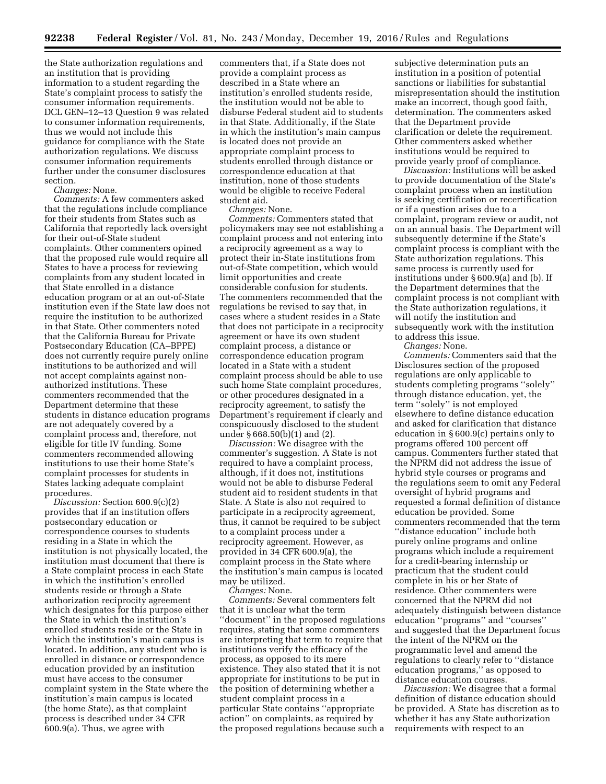the State authorization regulations and an institution that is providing information to a student regarding the State's complaint process to satisfy the consumer information requirements. DCL GEN–12–13 Question 9 was related to consumer information requirements, thus we would not include this guidance for compliance with the State authorization regulations. We discuss consumer information requirements further under the consumer disclosures section.

*Changes:* None.

*Comments:* A few commenters asked that the regulations include compliance for their students from States such as California that reportedly lack oversight for their out-of-State student complaints. Other commenters opined that the proposed rule would require all States to have a process for reviewing complaints from any student located in that State enrolled in a distance education program or at an out-of-State institution even if the State law does not require the institution to be authorized in that State. Other commenters noted that the California Bureau for Private Postsecondary Education (CA–BPPE) does not currently require purely online institutions to be authorized and will not accept complaints against nonauthorized institutions. These commenters recommended that the Department determine that these students in distance education programs are not adequately covered by a complaint process and, therefore, not eligible for title IV funding. Some commenters recommended allowing institutions to use their home State's complaint processes for students in States lacking adequate complaint procedures.

*Discussion:* Section 600.9(c)(2) provides that if an institution offers postsecondary education or correspondence courses to students residing in a State in which the institution is not physically located, the institution must document that there is a State complaint process in each State in which the institution's enrolled students reside or through a State authorization reciprocity agreement which designates for this purpose either the State in which the institution's enrolled students reside or the State in which the institution's main campus is located. In addition, any student who is enrolled in distance or correspondence education provided by an institution must have access to the consumer complaint system in the State where the institution's main campus is located (the home State), as that complaint process is described under 34 CFR 600.9(a). Thus, we agree with

commenters that, if a State does not provide a complaint process as described in a State where an institution's enrolled students reside, the institution would not be able to disburse Federal student aid to students in that State. Additionally, if the State in which the institution's main campus is located does not provide an appropriate complaint process to students enrolled through distance or correspondence education at that institution, none of those students would be eligible to receive Federal student aid.

*Changes:* None.

*Comments:* Commenters stated that policymakers may see not establishing a complaint process and not entering into a reciprocity agreement as a way to protect their in-State institutions from out-of-State competition, which would limit opportunities and create considerable confusion for students. The commenters recommended that the regulations be revised to say that, in cases where a student resides in a State that does not participate in a reciprocity agreement or have its own student complaint process, a distance or correspondence education program located in a State with a student complaint process should be able to use such home State complaint procedures, or other procedures designated in a reciprocity agreement, to satisfy the Department's requirement if clearly and conspicuously disclosed to the student under § 668.50(b)(1) and (2).

*Discussion:* We disagree with the commenter's suggestion. A State is not required to have a complaint process, although, if it does not, institutions would not be able to disburse Federal student aid to resident students in that State. A State is also not required to participate in a reciprocity agreement, thus, it cannot be required to be subject to a complaint process under a reciprocity agreement. However, as provided in 34 CFR 600.9(a), the complaint process in the State where the institution's main campus is located may be utilized.

*Changes:* None.

*Comments:* Several commenters felt that it is unclear what the term ''document'' in the proposed regulations requires, stating that some commenters are interpreting that term to require that institutions verify the efficacy of the process, as opposed to its mere existence. They also stated that it is not appropriate for institutions to be put in the position of determining whether a student complaint process in a particular State contains ''appropriate action'' on complaints, as required by the proposed regulations because such a

subjective determination puts an institution in a position of potential sanctions or liabilities for substantial misrepresentation should the institution make an incorrect, though good faith, determination. The commenters asked that the Department provide clarification or delete the requirement. Other commenters asked whether institutions would be required to provide yearly proof of compliance.

*Discussion:* Institutions will be asked to provide documentation of the State's complaint process when an institution is seeking certification or recertification or if a question arises due to a complaint, program review or audit, not on an annual basis. The Department will subsequently determine if the State's complaint process is compliant with the State authorization regulations. This same process is currently used for institutions under § 600.9(a) and (b). If the Department determines that the complaint process is not compliant with the State authorization regulations, it will notify the institution and subsequently work with the institution to address this issue.

*Changes:* None.

*Comments:* Commenters said that the Disclosures section of the proposed regulations are only applicable to students completing programs ''solely'' through distance education, yet, the term ''solely'' is not employed elsewhere to define distance education and asked for clarification that distance education in § 600.9(c) pertains only to programs offered 100 percent off campus. Commenters further stated that the NPRM did not address the issue of hybrid style courses or programs and the regulations seem to omit any Federal oversight of hybrid programs and requested a formal definition of distance education be provided. Some commenters recommended that the term ''distance education'' include both purely online programs and online programs which include a requirement for a credit-bearing internship or practicum that the student could complete in his or her State of residence. Other commenters were concerned that the NPRM did not adequately distinguish between distance education ''programs'' and ''courses'' and suggested that the Department focus the intent of the NPRM on the programmatic level and amend the regulations to clearly refer to ''distance education programs,'' as opposed to distance education courses.

*Discussion:* We disagree that a formal definition of distance education should be provided. A State has discretion as to whether it has any State authorization requirements with respect to an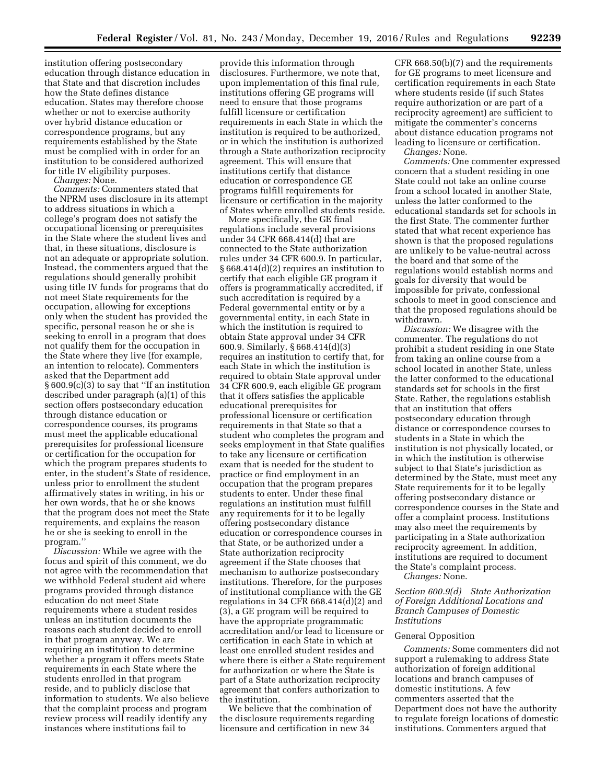institution offering postsecondary education through distance education in that State and that discretion includes how the State defines distance education. States may therefore choose whether or not to exercise authority over hybrid distance education or correspondence programs, but any requirements established by the State must be complied with in order for an institution to be considered authorized for title IV eligibility purposes.

*Changes:* None.

*Comments:* Commenters stated that the NPRM uses disclosure in its attempt to address situations in which a college's program does not satisfy the occupational licensing or prerequisites in the State where the student lives and that, in these situations, disclosure is not an adequate or appropriate solution. Instead, the commenters argued that the regulations should generally prohibit using title IV funds for programs that do not meet State requirements for the occupation, allowing for exceptions only when the student has provided the specific, personal reason he or she is seeking to enroll in a program that does not qualify them for the occupation in the State where they live (for example, an intention to relocate). Commenters asked that the Department add § 600.9(c)(3) to say that ''If an institution described under paragraph (a)(1) of this section offers postsecondary education through distance education or correspondence courses, its programs must meet the applicable educational prerequisites for professional licensure or certification for the occupation for which the program prepares students to enter, in the student's State of residence, unless prior to enrollment the student affirmatively states in writing, in his or her own words, that he or she knows that the program does not meet the State requirements, and explains the reason he or she is seeking to enroll in the program.''

*Discussion:* While we agree with the focus and spirit of this comment, we do not agree with the recommendation that we withhold Federal student aid where programs provided through distance education do not meet State requirements where a student resides unless an institution documents the reasons each student decided to enroll in that program anyway. We are requiring an institution to determine whether a program it offers meets State requirements in each State where the students enrolled in that program reside, and to publicly disclose that information to students. We also believe that the complaint process and program review process will readily identify any instances where institutions fail to

provide this information through disclosures. Furthermore, we note that, upon implementation of this final rule, institutions offering GE programs will need to ensure that those programs fulfill licensure or certification requirements in each State in which the institution is required to be authorized, or in which the institution is authorized through a State authorization reciprocity agreement. This will ensure that institutions certify that distance education or correspondence GE programs fulfill requirements for licensure or certification in the majority of States where enrolled students reside.

More specifically, the GE final regulations include several provisions under 34 CFR 668.414(d) that are connected to the State authorization rules under 34 CFR 600.9. In particular, § 668.414(d)(2) requires an institution to certify that each eligible GE program it offers is programmatically accredited, if such accreditation is required by a Federal governmental entity or by a governmental entity, in each State in which the institution is required to obtain State approval under 34 CFR 600.9. Similarly, § 668.414(d)(3) requires an institution to certify that, for each State in which the institution is required to obtain State approval under 34 CFR 600.9, each eligible GE program that it offers satisfies the applicable educational prerequisites for professional licensure or certification requirements in that State so that a student who completes the program and seeks employment in that State qualifies to take any licensure or certification exam that is needed for the student to practice or find employment in an occupation that the program prepares students to enter. Under these final regulations an institution must fulfill any requirements for it to be legally offering postsecondary distance education or correspondence courses in that State, or be authorized under a State authorization reciprocity agreement if the State chooses that mechanism to authorize postsecondary institutions. Therefore, for the purposes of institutional compliance with the GE regulations in 34 CFR 668.414(d)(2) and (3), a GE program will be required to have the appropriate programmatic accreditation and/or lead to licensure or certification in each State in which at least one enrolled student resides and where there is either a State requirement for authorization or where the State is part of a State authorization reciprocity agreement that confers authorization to the institution.

We believe that the combination of the disclosure requirements regarding licensure and certification in new 34

CFR 668.50(b)(7) and the requirements for GE programs to meet licensure and certification requirements in each State where students reside (if such States require authorization or are part of a reciprocity agreement) are sufficient to mitigate the commenter's concerns about distance education programs not leading to licensure or certification. *Changes:* None.

*Comments:* One commenter expressed concern that a student residing in one State could not take an online course from a school located in another State, unless the latter conformed to the educational standards set for schools in the first State. The commenter further stated that what recent experience has shown is that the proposed regulations are unlikely to be value-neutral across the board and that some of the regulations would establish norms and goals for diversity that would be impossible for private, confessional schools to meet in good conscience and that the proposed regulations should be withdrawn.

*Discussion:* We disagree with the commenter. The regulations do not prohibit a student residing in one State from taking an online course from a school located in another State, unless the latter conformed to the educational standards set for schools in the first State. Rather, the regulations establish that an institution that offers postsecondary education through distance or correspondence courses to students in a State in which the institution is not physically located, or in which the institution is otherwise subject to that State's jurisdiction as determined by the State, must meet any State requirements for it to be legally offering postsecondary distance or correspondence courses in the State and offer a complaint process. Institutions may also meet the requirements by participating in a State authorization reciprocity agreement. In addition, institutions are required to document the State's complaint process.

*Changes:* None.

*Section 600.9(d) State Authorization of Foreign Additional Locations and Branch Campuses of Domestic Institutions* 

# General Opposition

*Comments:* Some commenters did not support a rulemaking to address State authorization of foreign additional locations and branch campuses of domestic institutions. A few commenters asserted that the Department does not have the authority to regulate foreign locations of domestic institutions. Commenters argued that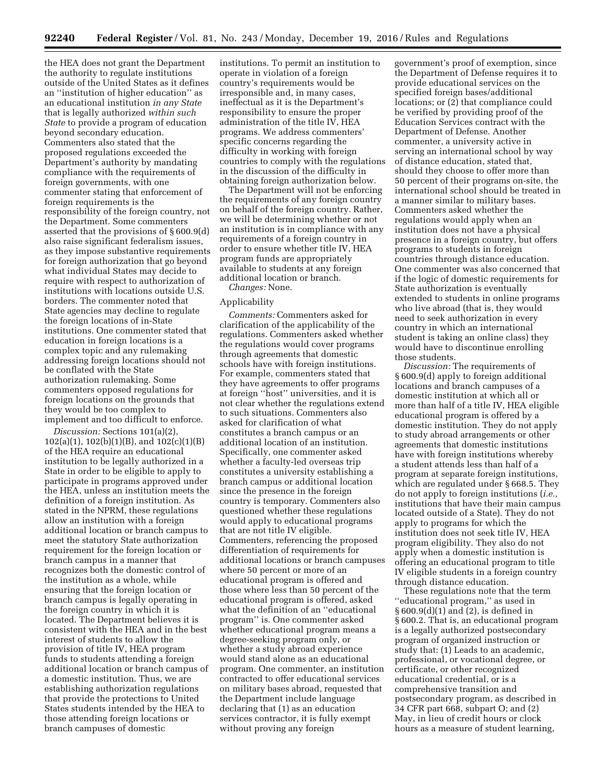the HEA does not grant the Department the authority to regulate institutions outside of the United States as it defines an ''institution of higher education'' as an educational institution *in any State*  that is legally authorized *within such State* to provide a program of education beyond secondary education. Commenters also stated that the proposed regulations exceeded the Department's authority by mandating compliance with the requirements of foreign governments, with one commenter stating that enforcement of foreign requirements is the responsibility of the foreign country, not the Department. Some commenters asserted that the provisions of § 600.9(d) also raise significant federalism issues, as they impose substantive requirements for foreign authorization that go beyond what individual States may decide to require with respect to authorization of institutions with locations outside U.S. borders. The commenter noted that State agencies may decline to regulate the foreign locations of in-State institutions. One commenter stated that education in foreign locations is a complex topic and any rulemaking addressing foreign locations should not be conflated with the State authorization rulemaking. Some commenters opposed regulations for foreign locations on the grounds that they would be too complex to implement and too difficult to enforce.

*Discussion:* Sections 101(a)(2), 102(a)(1), 102(b)(1)(B), and 102(c)(1)(B) of the HEA require an educational institution to be legally authorized in a State in order to be eligible to apply to participate in programs approved under the HEA, unless an institution meets the definition of a foreign institution. As stated in the NPRM, these regulations allow an institution with a foreign additional location or branch campus to meet the statutory State authorization requirement for the foreign location or branch campus in a manner that recognizes both the domestic control of the institution as a whole, while ensuring that the foreign location or branch campus is legally operating in the foreign country in which it is located. The Department believes it is consistent with the HEA and in the best interest of students to allow the provision of title IV, HEA program funds to students attending a foreign additional location or branch campus of a domestic institution. Thus, we are establishing authorization regulations that provide the protections to United States students intended by the HEA to those attending foreign locations or branch campuses of domestic

institutions. To permit an institution to operate in violation of a foreign country's requirements would be irresponsible and, in many cases, ineffectual as it is the Department's responsibility to ensure the proper administration of the title IV, HEA programs. We address commenters' specific concerns regarding the difficulty in working with foreign countries to comply with the regulations in the discussion of the difficulty in obtaining foreign authorization below.

The Department will not be enforcing the requirements of any foreign country on behalf of the foreign country. Rather, we will be determining whether or not an institution is in compliance with any requirements of a foreign country in order to ensure whether title IV, HEA program funds are appropriately available to students at any foreign additional location or branch.

*Changes:* None.

### Applicability

*Comments:* Commenters asked for clarification of the applicability of the regulations. Commenters asked whether the regulations would cover programs through agreements that domestic schools have with foreign institutions. For example, commenters stated that they have agreements to offer programs at foreign ''host'' universities, and it is not clear whether the regulations extend to such situations. Commenters also asked for clarification of what constitutes a branch campus or an additional location of an institution. Specifically, one commenter asked whether a faculty-led overseas trip constitutes a university establishing a branch campus or additional location since the presence in the foreign country is temporary. Commenters also questioned whether these regulations would apply to educational programs that are not title IV eligible. Commenters, referencing the proposed differentiation of requirements for additional locations or branch campuses where 50 percent or more of an educational program is offered and those where less than 50 percent of the educational program is offered, asked what the definition of an ''educational program'' is. One commenter asked whether educational program means a degree-seeking program only, or whether a study abroad experience would stand alone as an educational program. One commenter, an institution contracted to offer educational services on military bases abroad, requested that the Department include language declaring that (1) as an education services contractor, it is fully exempt without proving any foreign

government's proof of exemption, since the Department of Defense requires it to provide educational services on the specified foreign bases/additional locations; or (2) that compliance could be verified by providing proof of the Education Services contract with the Department of Defense. Another commenter, a university active in serving an international school by way of distance education, stated that, should they choose to offer more than 50 percent of their programs on-site, the international school should be treated in a manner similar to military bases. Commenters asked whether the regulations would apply when an institution does not have a physical presence in a foreign country, but offers programs to students in foreign countries through distance education. One commenter was also concerned that if the logic of domestic requirements for State authorization is eventually extended to students in online programs who live abroad (that is, they would need to seek authorization in every country in which an international student is taking an online class) they would have to discontinue enrolling those students.

*Discussion:* The requirements of § 600.9(d) apply to foreign additional locations and branch campuses of a domestic institution at which all or more than half of a title IV, HEA eligible educational program is offered by a domestic institution. They do not apply to study abroad arrangements or other agreements that domestic institutions have with foreign institutions whereby a student attends less than half of a program at separate foreign institutions, which are regulated under § 668.5. They do not apply to foreign institutions (*i.e.,*  institutions that have their main campus located outside of a State). They do not apply to programs for which the institution does not seek title IV, HEA program eligibility. They also do not apply when a domestic institution is offering an educational program to title IV eligible students in a foreign country through distance education.

These regulations note that the term ''educational program,'' as used in § 600.9(d)(1) and (2), is defined in § 600.2. That is, an educational program is a legally authorized postsecondary program of organized instruction or study that: (1) Leads to an academic, professional, or vocational degree, or certificate, or other recognized educational credential, or is a comprehensive transition and postsecondary program, as described in 34 CFR part 668, subpart O; and (2) May, in lieu of credit hours or clock hours as a measure of student learning,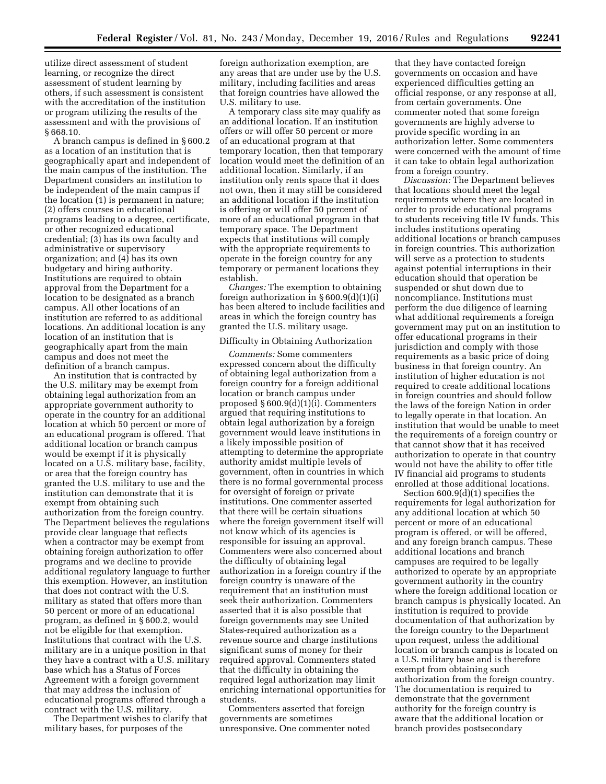utilize direct assessment of student learning, or recognize the direct assessment of student learning by others, if such assessment is consistent with the accreditation of the institution or program utilizing the results of the assessment and with the provisions of § 668.10.

A branch campus is defined in § 600.2 as a location of an institution that is geographically apart and independent of the main campus of the institution. The Department considers an institution to be independent of the main campus if the location (1) is permanent in nature; (2) offers courses in educational programs leading to a degree, certificate, or other recognized educational credential; (3) has its own faculty and administrative or supervisory organization; and (4) has its own budgetary and hiring authority. Institutions are required to obtain approval from the Department for a location to be designated as a branch campus. All other locations of an institution are referred to as additional locations. An additional location is any location of an institution that is geographically apart from the main campus and does not meet the definition of a branch campus.

An institution that is contracted by the U.S. military may be exempt from obtaining legal authorization from an appropriate government authority to operate in the country for an additional location at which 50 percent or more of an educational program is offered. That additional location or branch campus would be exempt if it is physically located on a U.S. military base, facility, or area that the foreign country has granted the U.S. military to use and the institution can demonstrate that it is exempt from obtaining such authorization from the foreign country. The Department believes the regulations provide clear language that reflects when a contractor may be exempt from obtaining foreign authorization to offer programs and we decline to provide additional regulatory language to further this exemption. However, an institution that does not contract with the U.S. military as stated that offers more than 50 percent or more of an educational program, as defined in § 600.2, would not be eligible for that exemption. Institutions that contract with the U.S. military are in a unique position in that they have a contract with a U.S. military base which has a Status of Forces Agreement with a foreign government that may address the inclusion of educational programs offered through a contract with the U.S. military.

The Department wishes to clarify that military bases, for purposes of the

foreign authorization exemption, are any areas that are under use by the U.S. military, including facilities and areas that foreign countries have allowed the U.S. military to use.

A temporary class site may qualify as an additional location. If an institution offers or will offer 50 percent or more of an educational program at that temporary location, then that temporary location would meet the definition of an additional location. Similarly, if an institution only rents space that it does not own, then it may still be considered an additional location if the institution is offering or will offer 50 percent of more of an educational program in that temporary space. The Department expects that institutions will comply with the appropriate requirements to operate in the foreign country for any temporary or permanent locations they establish.

*Changes:* The exemption to obtaining foreign authorization in § 600.9(d)(1)(i) has been altered to include facilities and areas in which the foreign country has granted the U.S. military usage.

## Difficulty in Obtaining Authorization

*Comments:* Some commenters expressed concern about the difficulty of obtaining legal authorization from a foreign country for a foreign additional location or branch campus under proposed § 600.9(d)(1)(i). Commenters argued that requiring institutions to obtain legal authorization by a foreign government would leave institutions in a likely impossible position of attempting to determine the appropriate authority amidst multiple levels of government, often in countries in which there is no formal governmental process for oversight of foreign or private institutions. One commenter asserted that there will be certain situations where the foreign government itself will not know which of its agencies is responsible for issuing an approval. Commenters were also concerned about the difficulty of obtaining legal authorization in a foreign country if the foreign country is unaware of the requirement that an institution must seek their authorization. Commenters asserted that it is also possible that foreign governments may see United States-required authorization as a revenue source and charge institutions significant sums of money for their required approval. Commenters stated that the difficulty in obtaining the required legal authorization may limit enriching international opportunities for students.

Commenters asserted that foreign governments are sometimes unresponsive. One commenter noted

that they have contacted foreign governments on occasion and have experienced difficulties getting an official response, or any response at all, from certain governments. One commenter noted that some foreign governments are highly adverse to provide specific wording in an authorization letter. Some commenters were concerned with the amount of time it can take to obtain legal authorization from a foreign country.

*Discussion:* The Department believes that locations should meet the legal requirements where they are located in order to provide educational programs to students receiving title IV funds. This includes institutions operating additional locations or branch campuses in foreign countries. This authorization will serve as a protection to students against potential interruptions in their education should that operation be suspended or shut down due to noncompliance. Institutions must perform the due diligence of learning what additional requirements a foreign government may put on an institution to offer educational programs in their jurisdiction and comply with those requirements as a basic price of doing business in that foreign country. An institution of higher education is not required to create additional locations in foreign countries and should follow the laws of the foreign Nation in order to legally operate in that location. An institution that would be unable to meet the requirements of a foreign country or that cannot show that it has received authorization to operate in that country would not have the ability to offer title IV financial aid programs to students enrolled at those additional locations.

Section 600.9(d)(1) specifies the requirements for legal authorization for any additional location at which 50 percent or more of an educational program is offered, or will be offered, and any foreign branch campus. These additional locations and branch campuses are required to be legally authorized to operate by an appropriate government authority in the country where the foreign additional location or branch campus is physically located. An institution is required to provide documentation of that authorization by the foreign country to the Department upon request, unless the additional location or branch campus is located on a U.S. military base and is therefore exempt from obtaining such authorization from the foreign country. The documentation is required to demonstrate that the government authority for the foreign country is aware that the additional location or branch provides postsecondary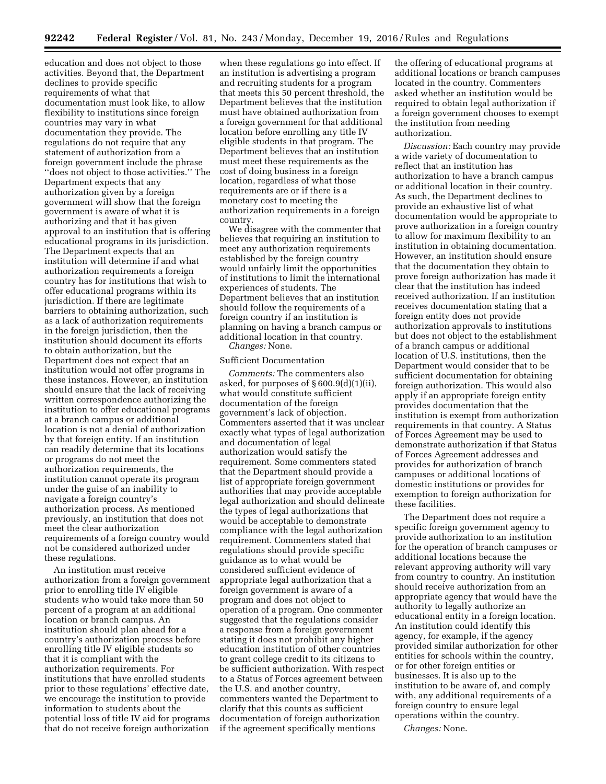education and does not object to those activities. Beyond that, the Department declines to provide specific requirements of what that documentation must look like, to allow flexibility to institutions since foreign countries may vary in what documentation they provide. The regulations do not require that any statement of authorization from a foreign government include the phrase ''does not object to those activities.'' The Department expects that any authorization given by a foreign government will show that the foreign government is aware of what it is authorizing and that it has given approval to an institution that is offering educational programs in its jurisdiction. The Department expects that an institution will determine if and what authorization requirements a foreign country has for institutions that wish to offer educational programs within its jurisdiction. If there are legitimate barriers to obtaining authorization, such as a lack of authorization requirements in the foreign jurisdiction, then the institution should document its efforts to obtain authorization, but the Department does not expect that an institution would not offer programs in these instances. However, an institution should ensure that the lack of receiving written correspondence authorizing the institution to offer educational programs at a branch campus or additional location is not a denial of authorization by that foreign entity. If an institution can readily determine that its locations or programs do not meet the authorization requirements, the institution cannot operate its program under the guise of an inability to navigate a foreign country's authorization process. As mentioned previously, an institution that does not meet the clear authorization requirements of a foreign country would not be considered authorized under these regulations.

An institution must receive authorization from a foreign government prior to enrolling title IV eligible students who would take more than 50 percent of a program at an additional location or branch campus. An institution should plan ahead for a country's authorization process before enrolling title IV eligible students so that it is compliant with the authorization requirements. For institutions that have enrolled students prior to these regulations' effective date, we encourage the institution to provide information to students about the potential loss of title IV aid for programs that do not receive foreign authorization

when these regulations go into effect. If an institution is advertising a program and recruiting students for a program that meets this 50 percent threshold, the Department believes that the institution must have obtained authorization from a foreign government for that additional location before enrolling any title IV eligible students in that program. The Department believes that an institution must meet these requirements as the cost of doing business in a foreign location, regardless of what those requirements are or if there is a monetary cost to meeting the authorization requirements in a foreign country.

We disagree with the commenter that believes that requiring an institution to meet any authorization requirements established by the foreign country would unfairly limit the opportunities of institutions to limit the international experiences of students. The Department believes that an institution should follow the requirements of a foreign country if an institution is planning on having a branch campus or additional location in that country. *Changes:* None.

#### Sufficient Documentation

*Comments:* The commenters also asked, for purposes of § 600.9(d)(1)(ii), what would constitute sufficient documentation of the foreign government's lack of objection. Commenters asserted that it was unclear exactly what types of legal authorization and documentation of legal authorization would satisfy the requirement. Some commenters stated that the Department should provide a list of appropriate foreign government authorities that may provide acceptable legal authorization and should delineate the types of legal authorizations that would be acceptable to demonstrate compliance with the legal authorization requirement. Commenters stated that regulations should provide specific guidance as to what would be considered sufficient evidence of appropriate legal authorization that a foreign government is aware of a program and does not object to operation of a program. One commenter suggested that the regulations consider a response from a foreign government stating it does not prohibit any higher education institution of other countries to grant college credit to its citizens to be sufficient authorization. With respect to a Status of Forces agreement between the U.S. and another country, commenters wanted the Department to clarify that this counts as sufficient documentation of foreign authorization if the agreement specifically mentions

the offering of educational programs at additional locations or branch campuses located in the country. Commenters asked whether an institution would be required to obtain legal authorization if a foreign government chooses to exempt the institution from needing authorization.

*Discussion:* Each country may provide a wide variety of documentation to reflect that an institution has authorization to have a branch campus or additional location in their country. As such, the Department declines to provide an exhaustive list of what documentation would be appropriate to prove authorization in a foreign country to allow for maximum flexibility to an institution in obtaining documentation. However, an institution should ensure that the documentation they obtain to prove foreign authorization has made it clear that the institution has indeed received authorization. If an institution receives documentation stating that a foreign entity does not provide authorization approvals to institutions but does not object to the establishment of a branch campus or additional location of U.S. institutions, then the Department would consider that to be sufficient documentation for obtaining foreign authorization. This would also apply if an appropriate foreign entity provides documentation that the institution is exempt from authorization requirements in that country. A Status of Forces Agreement may be used to demonstrate authorization if that Status of Forces Agreement addresses and provides for authorization of branch campuses or additional locations of domestic institutions or provides for exemption to foreign authorization for these facilities.

The Department does not require a specific foreign government agency to provide authorization to an institution for the operation of branch campuses or additional locations because the relevant approving authority will vary from country to country. An institution should receive authorization from an appropriate agency that would have the authority to legally authorize an educational entity in a foreign location. An institution could identify this agency, for example, if the agency provided similar authorization for other entities for schools within the country, or for other foreign entities or businesses. It is also up to the institution to be aware of, and comply with, any additional requirements of a foreign country to ensure legal operations within the country.

*Changes:* None.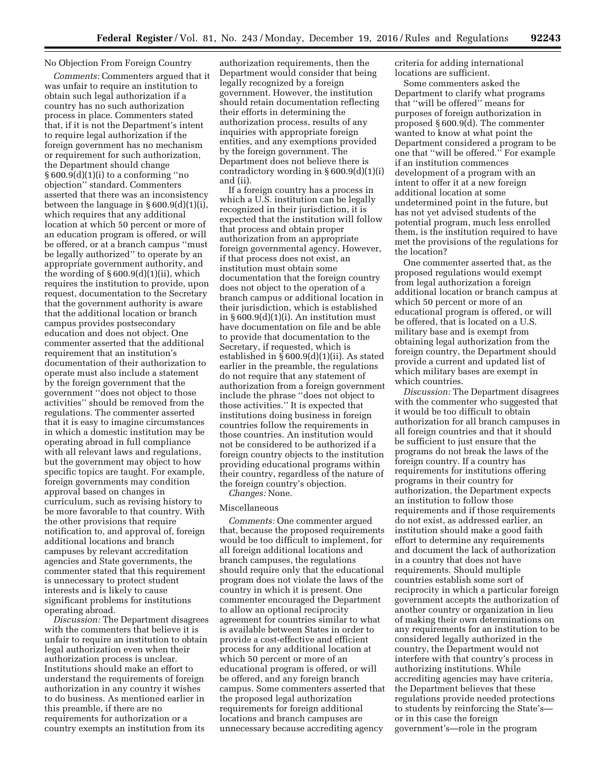## No Objection From Foreign Country

*Comments:* Commenters argued that it was unfair to require an institution to obtain such legal authorization if a country has no such authorization process in place. Commenters stated that, if it is not the Department's intent to require legal authorization if the foreign government has no mechanism or requirement for such authorization, the Department should change  $§ 600.9(d)(1)(i)$  to a conforming "no objection'' standard. Commenters asserted that there was an inconsistency between the language in § 600.9(d)(1)(i), which requires that any additional location at which 50 percent or more of an education program is offered, or will be offered, or at a branch campus ''must be legally authorized'' to operate by an appropriate government authority, and the wording of  $\S 600.9(d)(1)(ii)$ , which requires the institution to provide, upon request, documentation to the Secretary that the government authority is aware that the additional location or branch campus provides postsecondary education and does not object. One commenter asserted that the additional requirement that an institution's documentation of their authorization to operate must also include a statement by the foreign government that the government ''does not object to those activities'' should be removed from the regulations. The commenter asserted that it is easy to imagine circumstances in which a domestic institution may be operating abroad in full compliance with all relevant laws and regulations, but the government may object to how specific topics are taught. For example, foreign governments may condition approval based on changes in curriculum, such as revising history to be more favorable to that country. With the other provisions that require notification to, and approval of, foreign additional locations and branch campuses by relevant accreditation agencies and State governments, the commenter stated that this requirement is unnecessary to protect student interests and is likely to cause significant problems for institutions operating abroad.

*Discussion:* The Department disagrees with the commenters that believe it is unfair to require an institution to obtain legal authorization even when their authorization process is unclear. Institutions should make an effort to understand the requirements of foreign authorization in any country it wishes to do business. As mentioned earlier in this preamble, if there are no requirements for authorization or a country exempts an institution from its

authorization requirements, then the Department would consider that being legally recognized by a foreign government. However, the institution should retain documentation reflecting their efforts in determining the authorization process, results of any inquiries with appropriate foreign entities, and any exemptions provided by the foreign government. The Department does not believe there is contradictory wording in § 600.9(d)(1)(i) and (ii).

If a foreign country has a process in which a U.S. institution can be legally recognized in their jurisdiction, it is expected that the institution will follow that process and obtain proper authorization from an appropriate foreign governmental agency. However, if that process does not exist, an institution must obtain some documentation that the foreign country does not object to the operation of a branch campus or additional location in their jurisdiction, which is established in § 600.9(d)(1)(i). An institution must have documentation on file and be able to provide that documentation to the Secretary, if requested, which is established in § 600.9(d)(1)(ii). As stated earlier in the preamble, the regulations do not require that any statement of authorization from a foreign government include the phrase ''does not object to those activities.'' It is expected that institutions doing business in foreign countries follow the requirements in those countries. An institution would not be considered to be authorized if a foreign country objects to the institution providing educational programs within their country, regardless of the nature of the foreign country's objection.

*Changes:* None.

## Miscellaneous

*Comments:* One commenter argued that, because the proposed requirements would be too difficult to implement, for all foreign additional locations and branch campuses, the regulations should require only that the educational program does not violate the laws of the country in which it is present. One commenter encouraged the Department to allow an optional reciprocity agreement for countries similar to what is available between States in order to provide a cost-effective and efficient process for any additional location at which 50 percent or more of an educational program is offered, or will be offered, and any foreign branch campus. Some commenters asserted that the proposed legal authorization requirements for foreign additional locations and branch campuses are unnecessary because accrediting agency

criteria for adding international locations are sufficient.

Some commenters asked the Department to clarify what programs that ''will be offered'' means for purposes of foreign authorization in proposed § 600.9(d). The commenter wanted to know at what point the Department considered a program to be one that ''will be offered.'' For example if an institution commences development of a program with an intent to offer it at a new foreign additional location at some undetermined point in the future, but has not yet advised students of the potential program, much less enrolled them, is the institution required to have met the provisions of the regulations for the location?

One commenter asserted that, as the proposed regulations would exempt from legal authorization a foreign additional location or branch campus at which 50 percent or more of an educational program is offered, or will be offered, that is located on a U.S. military base and is exempt from obtaining legal authorization from the foreign country, the Department should provide a current and updated list of which military bases are exempt in which countries.

*Discussion:* The Department disagrees with the commenter who suggested that it would be too difficult to obtain authorization for all branch campuses in all foreign countries and that it should be sufficient to just ensure that the programs do not break the laws of the foreign country. If a country has requirements for institutions offering programs in their country for authorization, the Department expects an institution to follow those requirements and if those requirements do not exist, as addressed earlier, an institution should make a good faith effort to determine any requirements and document the lack of authorization in a country that does not have requirements. Should multiple countries establish some sort of reciprocity in which a particular foreign government accepts the authorization of another country or organization in lieu of making their own determinations on any requirements for an institution to be considered legally authorized in the country, the Department would not interfere with that country's process in authorizing institutions. While accrediting agencies may have criteria, the Department believes that these regulations provide needed protections to students by reinforcing the State's or in this case the foreign government's—role in the program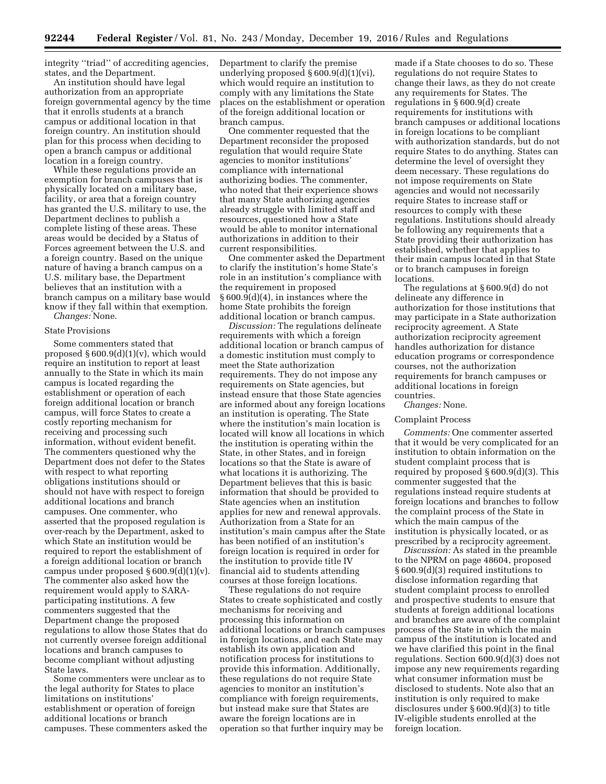integrity ''triad'' of accrediting agencies, states, and the Department.

An institution should have legal authorization from an appropriate foreign governmental agency by the time that it enrolls students at a branch campus or additional location in that foreign country. An institution should plan for this process when deciding to open a branch campus or additional location in a foreign country.

While these regulations provide an exemption for branch campuses that is physically located on a military base, facility, or area that a foreign country has granted the U.S. military to use, the Department declines to publish a complete listing of these areas. These areas would be decided by a Status of Forces agreement between the U.S. and a foreign country. Based on the unique nature of having a branch campus on a U.S. military base, the Department believes that an institution with a branch campus on a military base would know if they fall within that exemption.

*Changes:* None.

### State Provisions

Some commenters stated that proposed § 600.9(d)(1)(v), which would require an institution to report at least annually to the State in which its main campus is located regarding the establishment or operation of each foreign additional location or branch campus, will force States to create a costly reporting mechanism for receiving and processing such information, without evident benefit. The commenters questioned why the Department does not defer to the States with respect to what reporting obligations institutions should or should not have with respect to foreign additional locations and branch campuses. One commenter, who asserted that the proposed regulation is over-reach by the Department, asked to which State an institution would be required to report the establishment of a foreign additional location or branch campus under proposed  $\S 600.9(d)(1)(v)$ . The commenter also asked how the requirement would apply to SARAparticipating institutions. A few commenters suggested that the Department change the proposed regulations to allow those States that do not currently oversee foreign additional locations and branch campuses to become compliant without adjusting State laws.

Some commenters were unclear as to the legal authority for States to place limitations on institutions' establishment or operation of foreign additional locations or branch campuses. These commenters asked the Department to clarify the premise underlying proposed § 600.9(d)(1)(vi), which would require an institution to comply with any limitations the State places on the establishment or operation of the foreign additional location or branch campus.

One commenter requested that the Department reconsider the proposed regulation that would require State agencies to monitor institutions' compliance with international authorizing bodies. The commenter, who noted that their experience shows that many State authorizing agencies already struggle with limited staff and resources, questioned how a State would be able to monitor international authorizations in addition to their current responsibilities.

One commenter asked the Department to clarify the institution's home State's role in an institution's compliance with the requirement in proposed § 600.9(d)(4), in instances where the home State prohibits the foreign additional location or branch campus.

*Discussion:* The regulations delineate requirements with which a foreign additional location or branch campus of a domestic institution must comply to meet the State authorization requirements. They do not impose any requirements on State agencies, but instead ensure that those State agencies are informed about any foreign locations an institution is operating. The State where the institution's main location is located will know all locations in which the institution is operating within the State, in other States, and in foreign locations so that the State is aware of what locations it is authorizing. The Department believes that this is basic information that should be provided to State agencies when an institution applies for new and renewal approvals. Authorization from a State for an institution's main campus after the State has been notified of an institution's foreign location is required in order for the institution to provide title IV financial aid to students attending courses at those foreign locations.

These regulations do not require States to create sophisticated and costly mechanisms for receiving and processing this information on additional locations or branch campuses in foreign locations, and each State may establish its own application and notification process for institutions to provide this information. Additionally, these regulations do not require State agencies to monitor an institution's compliance with foreign requirements, but instead make sure that States are aware the foreign locations are in operation so that further inquiry may be

made if a State chooses to do so. These regulations do not require States to change their laws, as they do not create any requirements for States. The regulations in § 600.9(d) create requirements for institutions with branch campuses or additional locations in foreign locations to be compliant with authorization standards, but do not require States to do anything. States can determine the level of oversight they deem necessary. These regulations do not impose requirements on State agencies and would not necessarily require States to increase staff or resources to comply with these regulations. Institutions should already be following any requirements that a State providing their authorization has established, whether that applies to their main campus located in that State or to branch campuses in foreign locations.

The regulations at § 600.9(d) do not delineate any difference in authorization for those institutions that may participate in a State authorization reciprocity agreement. A State authorization reciprocity agreement handles authorization for distance education programs or correspondence courses, not the authorization requirements for branch campuses or additional locations in foreign countries.

*Changes:* None.

## Complaint Process

*Comments:* One commenter asserted that it would be very complicated for an institution to obtain information on the student complaint process that is required by proposed § 600.9(d)(3). This commenter suggested that the regulations instead require students at foreign locations and branches to follow the complaint process of the State in which the main campus of the institution is physically located, or as prescribed by a reciprocity agreement.

*Discussion:* As stated in the preamble to the NPRM on page 48604, proposed § 600.9(d)(3) required institutions to disclose information regarding that student complaint process to enrolled and prospective students to ensure that students at foreign additional locations and branches are aware of the complaint process of the State in which the main campus of the institution is located and we have clarified this point in the final regulations. Section 600.9(d)(3) does not impose any new requirements regarding what consumer information must be disclosed to students. Note also that an institution is only required to make disclosures under § 600.9(d)(3) to title IV-eligible students enrolled at the foreign location.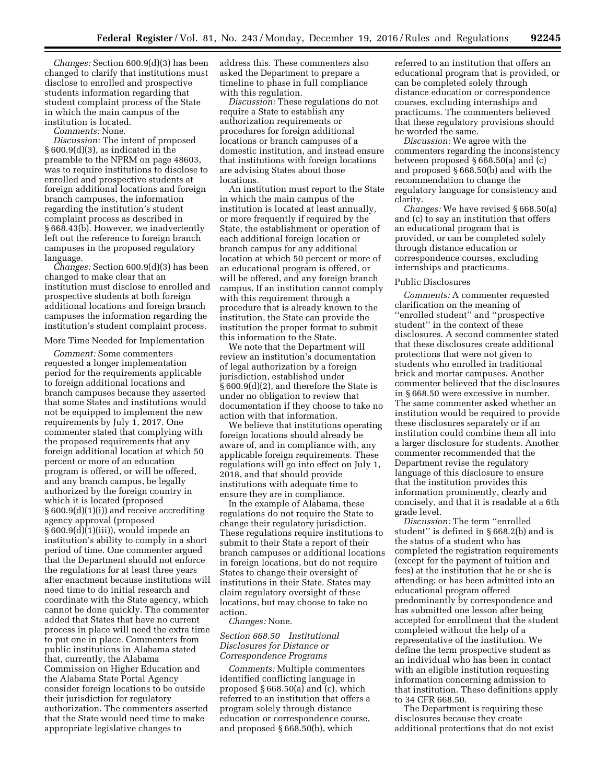*Changes:* Section 600.9(d)(3) has been changed to clarify that institutions must disclose to enrolled and prospective students information regarding that student complaint process of the State in which the main campus of the institution is located.

*Comments:* None.

*Discussion:* The intent of proposed § 600.9(d)(3), as indicated in the preamble to the NPRM on page 48603, was to require institutions to disclose to enrolled and prospective students at foreign additional locations and foreign branch campuses, the information regarding the institution's student complaint process as described in § 668.43(b). However, we inadvertently left out the reference to foreign branch campuses in the proposed regulatory language.

*Changes:* Section 600.9(d)(3) has been changed to make clear that an institution must disclose to enrolled and prospective students at both foreign additional locations and foreign branch campuses the information regarding the institution's student complaint process.

# More Time Needed for Implementation

*Comment:* Some commenters requested a longer implementation period for the requirements applicable to foreign additional locations and branch campuses because they asserted that some States and institutions would not be equipped to implement the new requirements by July 1, 2017. One commenter stated that complying with the proposed requirements that any foreign additional location at which 50 percent or more of an education program is offered, or will be offered, and any branch campus, be legally authorized by the foreign country in which it is located (proposed § 600.9(d)(1)(i)) and receive accrediting agency approval (proposed § 600.9(d)(1)(iii)), would impede an institution's ability to comply in a short period of time. One commenter argued that the Department should not enforce the regulations for at least three years after enactment because institutions will need time to do initial research and coordinate with the State agency, which cannot be done quickly. The commenter added that States that have no current process in place will need the extra time to put one in place. Commenters from public institutions in Alabama stated that, currently, the Alabama Commission on Higher Education and the Alabama State Portal Agency consider foreign locations to be outside their jurisdiction for regulatory authorization. The commenters asserted that the State would need time to make appropriate legislative changes to

address this. These commenters also asked the Department to prepare a timeline to phase in full compliance with this regulation.

*Discussion:* These regulations do not require a State to establish any authorization requirements or procedures for foreign additional locations or branch campuses of a domestic institution, and instead ensure that institutions with foreign locations are advising States about those locations.

An institution must report to the State in which the main campus of the institution is located at least annually, or more frequently if required by the State, the establishment or operation of each additional foreign location or branch campus for any additional location at which 50 percent or more of an educational program is offered, or will be offered, and any foreign branch campus. If an institution cannot comply with this requirement through a procedure that is already known to the institution, the State can provide the institution the proper format to submit this information to the State.

We note that the Department will review an institution's documentation of legal authorization by a foreign jurisdiction, established under § 600.9(d)(2), and therefore the State is under no obligation to review that documentation if they choose to take no action with that information.

We believe that institutions operating foreign locations should already be aware of, and in compliance with, any applicable foreign requirements. These regulations will go into effect on July 1, 2018, and that should provide institutions with adequate time to ensure they are in compliance.

In the example of Alabama, these regulations do not require the State to change their regulatory jurisdiction. These regulations require institutions to submit to their State a report of their branch campuses or additional locations in foreign locations, but do not require States to change their oversight of institutions in their State. States may claim regulatory oversight of these locations, but may choose to take no action.

### *Changes:* None.

# *Section 668.50 Institutional Disclosures for Distance or Correspondence Programs*

*Comments:* Multiple commenters identified conflicting language in proposed § 668.50(a) and (c), which referred to an institution that offers a program solely through distance education or correspondence course, and proposed § 668.50(b), which

referred to an institution that offers an educational program that is provided, or can be completed solely through distance education or correspondence courses, excluding internships and practicums. The commenters believed that these regulatory provisions should be worded the same.

*Discussion:* We agree with the commenters regarding the inconsistency between proposed § 668.50(a) and (c) and proposed § 668.50(b) and with the recommendation to change the regulatory language for consistency and clarity.

*Changes:* We have revised § 668.50(a) and (c) to say an institution that offers an educational program that is provided, or can be completed solely through distance education or correspondence courses, excluding internships and practicums.

#### Public Disclosures

*Comments:* A commenter requested clarification on the meaning of ''enrolled student'' and ''prospective student'' in the context of these disclosures. A second commenter stated that these disclosures create additional protections that were not given to students who enrolled in traditional brick and mortar campuses. Another commenter believed that the disclosures in § 668.50 were excessive in number. The same commenter asked whether an institution would be required to provide these disclosures separately or if an institution could combine them all into a larger disclosure for students. Another commenter recommended that the Department revise the regulatory language of this disclosure to ensure that the institution provides this information prominently, clearly and concisely, and that it is readable at a 6th grade level.

*Discussion:* The term ''enrolled student'' is defined in § 668.2(b) and is the status of a student who has completed the registration requirements (except for the payment of tuition and fees) at the institution that he or she is attending; or has been admitted into an educational program offered predominantly by correspondence and has submitted one lesson after being accepted for enrollment that the student completed without the help of a representative of the institution. We define the term prospective student as an individual who has been in contact with an eligible institution requesting information concerning admission to that institution. These definitions apply to 34 CFR 668.50.

The Department is requiring these disclosures because they create additional protections that do not exist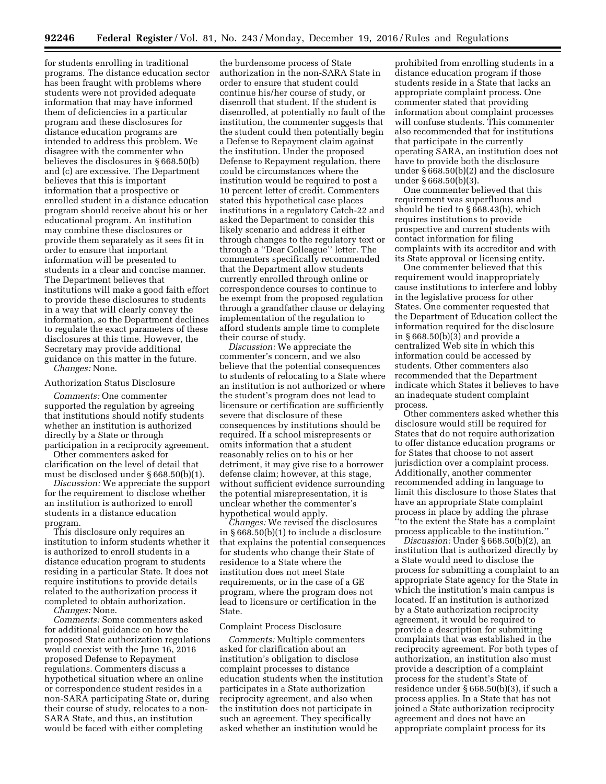for students enrolling in traditional programs. The distance education sector has been fraught with problems where students were not provided adequate information that may have informed them of deficiencies in a particular program and these disclosures for distance education programs are intended to address this problem. We disagree with the commenter who believes the disclosures in § 668.50(b) and (c) are excessive. The Department believes that this is important information that a prospective or enrolled student in a distance education program should receive about his or her educational program. An institution may combine these disclosures or provide them separately as it sees fit in order to ensure that important information will be presented to students in a clear and concise manner. The Department believes that institutions will make a good faith effort to provide these disclosures to students in a way that will clearly convey the information, so the Department declines to regulate the exact parameters of these disclosures at this time. However, the Secretary may provide additional guidance on this matter in the future. *Changes:* None.

#### Authorization Status Disclosure

*Comments:* One commenter supported the regulation by agreeing that institutions should notify students whether an institution is authorized directly by a State or through participation in a reciprocity agreement.

Other commenters asked for clarification on the level of detail that must be disclosed under § 668.50(b)(1).

*Discussion:* We appreciate the support for the requirement to disclose whether an institution is authorized to enroll students in a distance education program.

This disclosure only requires an institution to inform students whether it is authorized to enroll students in a distance education program to students residing in a particular State. It does not require institutions to provide details related to the authorization process it completed to obtain authorization.

*Changes:* None.

*Comments:* Some commenters asked for additional guidance on how the proposed State authorization regulations would coexist with the June 16, 2016 proposed Defense to Repayment regulations. Commenters discuss a hypothetical situation where an online or correspondence student resides in a non-SARA participating State or, during their course of study, relocates to a non-SARA State, and thus, an institution would be faced with either completing

the burdensome process of State authorization in the non-SARA State in order to ensure that student could continue his/her course of study, or disenroll that student. If the student is disenrolled, at potentially no fault of the institution, the commenter suggests that the student could then potentially begin a Defense to Repayment claim against the institution. Under the proposed Defense to Repayment regulation, there could be circumstances where the institution would be required to post a 10 percent letter of credit. Commenters stated this hypothetical case places institutions in a regulatory Catch-22 and asked the Department to consider this likely scenario and address it either through changes to the regulatory text or through a ''Dear Colleague'' letter. The commenters specifically recommended that the Department allow students currently enrolled through online or correspondence courses to continue to be exempt from the proposed regulation through a grandfather clause or delaying implementation of the regulation to afford students ample time to complete their course of study.

*Discussion:* We appreciate the commenter's concern, and we also believe that the potential consequences to students of relocating to a State where an institution is not authorized or where the student's program does not lead to licensure or certification are sufficiently severe that disclosure of these consequences by institutions should be required. If a school misrepresents or omits information that a student reasonably relies on to his or her detriment, it may give rise to a borrower defense claim; however, at this stage, without sufficient evidence surrounding the potential misrepresentation, it is unclear whether the commenter's hypothetical would apply.

*Changes:* We revised the disclosures in § 668.50(b)(1) to include a disclosure that explains the potential consequences for students who change their State of residence to a State where the institution does not meet State requirements, or in the case of a GE program, where the program does not lead to licensure or certification in the State.

## Complaint Process Disclosure

*Comments:* Multiple commenters asked for clarification about an institution's obligation to disclose complaint processes to distance education students when the institution participates in a State authorization reciprocity agreement, and also when the institution does not participate in such an agreement. They specifically asked whether an institution would be

prohibited from enrolling students in a distance education program if those students reside in a State that lacks an appropriate complaint process. One commenter stated that providing information about complaint processes will confuse students. This commenter also recommended that for institutions that participate in the currently operating SARA, an institution does not have to provide both the disclosure under § 668.50(b)(2) and the disclosure under § 668.50(b)(3).

One commenter believed that this requirement was superfluous and should be tied to § 668.43(b), which requires institutions to provide prospective and current students with contact information for filing complaints with its accreditor and with its State approval or licensing entity.

One commenter believed that this requirement would inappropriately cause institutions to interfere and lobby in the legislative process for other States. One commenter requested that the Department of Education collect the information required for the disclosure in § 668.50(b)(3) and provide a centralized Web site in which this information could be accessed by students. Other commenters also recommended that the Department indicate which States it believes to have an inadequate student complaint process.

Other commenters asked whether this disclosure would still be required for States that do not require authorization to offer distance education programs or for States that choose to not assert jurisdiction over a complaint process. Additionally, another commenter recommended adding in language to limit this disclosure to those States that have an appropriate State complaint process in place by adding the phrase ''to the extent the State has a complaint process applicable to the institution.''

*Discussion:* Under § 668.50(b)(2), an institution that is authorized directly by a State would need to disclose the process for submitting a complaint to an appropriate State agency for the State in which the institution's main campus is located. If an institution is authorized by a State authorization reciprocity agreement, it would be required to provide a description for submitting complaints that was established in the reciprocity agreement. For both types of authorization, an institution also must provide a description of a complaint process for the student's State of residence under § 668.50(b)(3), if such a process applies. In a State that has not joined a State authorization reciprocity agreement and does not have an appropriate complaint process for its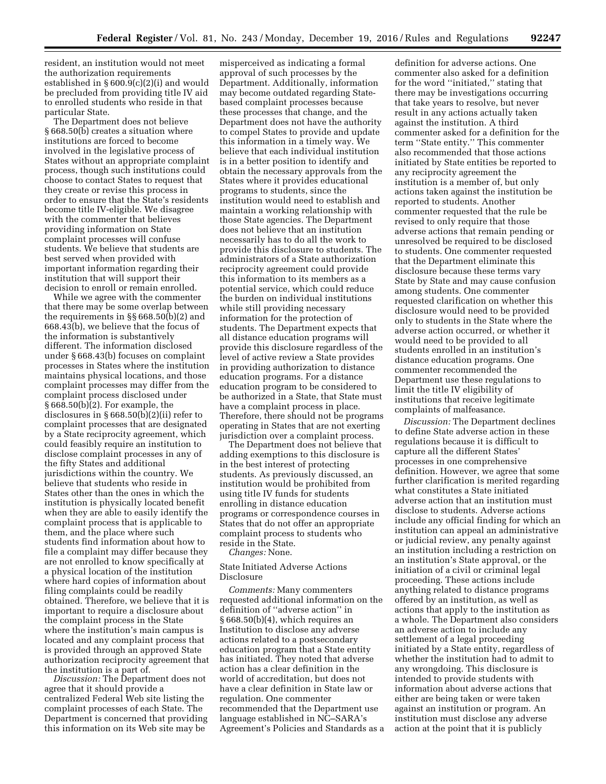resident, an institution would not meet the authorization requirements established in § 600.9(c)(2)(i) and would be precluded from providing title IV aid to enrolled students who reside in that particular State.

The Department does not believe § 668.50(b) creates a situation where institutions are forced to become involved in the legislative process of States without an appropriate complaint process, though such institutions could choose to contact States to request that they create or revise this process in order to ensure that the State's residents become title IV-eligible. We disagree with the commenter that believes providing information on State complaint processes will confuse students. We believe that students are best served when provided with important information regarding their institution that will support their decision to enroll or remain enrolled.

While we agree with the commenter that there may be some overlap between the requirements in §§ 668.50(b)(2) and 668.43(b), we believe that the focus of the information is substantively different. The information disclosed under § 668.43(b) focuses on complaint processes in States where the institution maintains physical locations, and those complaint processes may differ from the complaint process disclosed under  $§ 668.50(b)[2]$ . For example, the disclosures in § 668.50(b)(2)(ii) refer to complaint processes that are designated by a State reciprocity agreement, which could feasibly require an institution to disclose complaint processes in any of the fifty States and additional jurisdictions within the country. We believe that students who reside in States other than the ones in which the institution is physically located benefit when they are able to easily identify the complaint process that is applicable to them, and the place where such students find information about how to file a complaint may differ because they are not enrolled to know specifically at a physical location of the institution where hard copies of information about filing complaints could be readily obtained. Therefore, we believe that it is important to require a disclosure about the complaint process in the State where the institution's main campus is located and any complaint process that is provided through an approved State authorization reciprocity agreement that the institution is a part of.

*Discussion:* The Department does not agree that it should provide a centralized Federal Web site listing the complaint processes of each State. The Department is concerned that providing this information on its Web site may be

misperceived as indicating a formal approval of such processes by the Department. Additionally, information may become outdated regarding Statebased complaint processes because these processes that change, and the Department does not have the authority to compel States to provide and update this information in a timely way. We believe that each individual institution is in a better position to identify and obtain the necessary approvals from the States where it provides educational programs to students, since the institution would need to establish and maintain a working relationship with those State agencies. The Department does not believe that an institution necessarily has to do all the work to provide this disclosure to students. The administrators of a State authorization reciprocity agreement could provide this information to its members as a potential service, which could reduce the burden on individual institutions while still providing necessary information for the protection of students. The Department expects that all distance education programs will provide this disclosure regardless of the level of active review a State provides in providing authorization to distance education programs. For a distance education program to be considered to be authorized in a State, that State must have a complaint process in place. Therefore, there should not be programs operating in States that are not exerting jurisdiction over a complaint process.

The Department does not believe that adding exemptions to this disclosure is in the best interest of protecting students. As previously discussed, an institution would be prohibited from using title IV funds for students enrolling in distance education programs or correspondence courses in States that do not offer an appropriate complaint process to students who reside in the State.

*Changes:* None.

### State Initiated Adverse Actions Disclosure

*Comments:* Many commenters requested additional information on the definition of ''adverse action'' in § 668.50(b)(4), which requires an Institution to disclose any adverse actions related to a postsecondary education program that a State entity has initiated. They noted that adverse action has a clear definition in the world of accreditation, but does not have a clear definition in State law or regulation. One commenter recommended that the Department use language established in NC–SARA's Agreement's Policies and Standards as a

definition for adverse actions. One commenter also asked for a definition for the word ''initiated,'' stating that there may be investigations occurring that take years to resolve, but never result in any actions actually taken against the institution. A third commenter asked for a definition for the term ''State entity.'' This commenter also recommended that those actions initiated by State entities be reported to any reciprocity agreement the institution is a member of, but only actions taken against the institution be reported to students. Another commenter requested that the rule be revised to only require that those adverse actions that remain pending or unresolved be required to be disclosed to students. One commenter requested that the Department eliminate this disclosure because these terms vary State by State and may cause confusion among students. One commenter requested clarification on whether this disclosure would need to be provided only to students in the State where the adverse action occurred, or whether it would need to be provided to all students enrolled in an institution's distance education programs. One commenter recommended the Department use these regulations to limit the title IV eligibility of institutions that receive legitimate complaints of malfeasance.

*Discussion:* The Department declines to define State adverse action in these regulations because it is difficult to capture all the different States' processes in one comprehensive definition. However, we agree that some further clarification is merited regarding what constitutes a State initiated adverse action that an institution must disclose to students. Adverse actions include any official finding for which an institution can appeal an administrative or judicial review, any penalty against an institution including a restriction on an institution's State approval, or the initiation of a civil or criminal legal proceeding. These actions include anything related to distance programs offered by an institution, as well as actions that apply to the institution as a whole. The Department also considers an adverse action to include any settlement of a legal proceeding initiated by a State entity, regardless of whether the institution had to admit to any wrongdoing. This disclosure is intended to provide students with information about adverse actions that either are being taken or were taken against an institution or program. An institution must disclose any adverse action at the point that it is publicly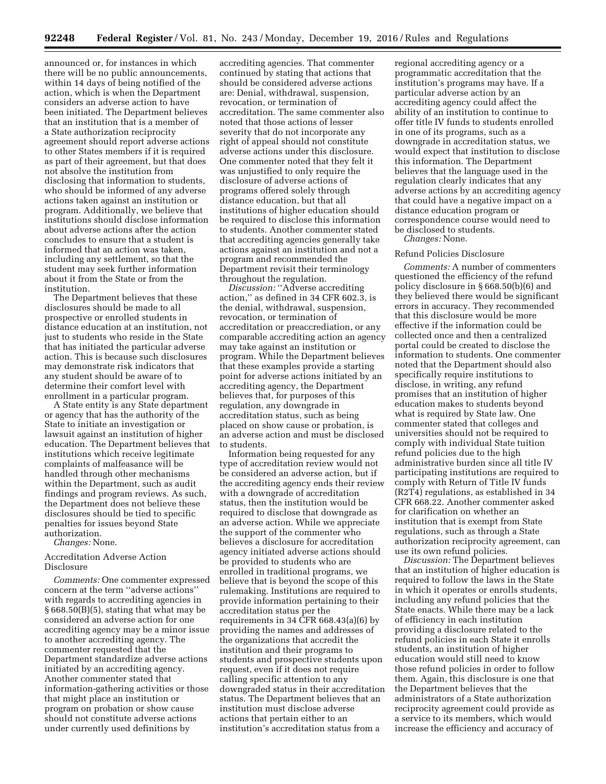announced or, for instances in which there will be no public announcements, within 14 days of being notified of the action, which is when the Department considers an adverse action to have been initiated. The Department believes that an institution that is a member of a State authorization reciprocity agreement should report adverse actions to other States members if it is required as part of their agreement, but that does not absolve the institution from disclosing that information to students, who should be informed of any adverse actions taken against an institution or program. Additionally, we believe that institutions should disclose information about adverse actions after the action concludes to ensure that a student is informed that an action was taken, including any settlement, so that the student may seek further information about it from the State or from the institution.

The Department believes that these disclosures should be made to all prospective or enrolled students in distance education at an institution, not just to students who reside in the State that has initiated the particular adverse action. This is because such disclosures may demonstrate risk indicators that any student should be aware of to determine their comfort level with enrollment in a particular program.

A State entity is any State department or agency that has the authority of the State to initiate an investigation or lawsuit against an institution of higher education. The Department believes that institutions which receive legitimate complaints of malfeasance will be handled through other mechanisms within the Department, such as audit findings and program reviews. As such, the Department does not believe these disclosures should be tied to specific penalties for issues beyond State authorization.

*Changes:* None.

# Accreditation Adverse Action Disclosure

*Comments:* One commenter expressed concern at the term ''adverse actions'' with regards to accrediting agencies in § 668.50(B)(5), stating that what may be considered an adverse action for one accrediting agency may be a minor issue to another accrediting agency. The commenter requested that the Department standardize adverse actions initiated by an accrediting agency. Another commenter stated that information-gathering activities or those that might place an institution or program on probation or show cause should not constitute adverse actions under currently used definitions by

accrediting agencies. That commenter continued by stating that actions that should be considered adverse actions are: Denial, withdrawal, suspension, revocation, or termination of accreditation. The same commenter also noted that those actions of lesser severity that do not incorporate any right of appeal should not constitute adverse actions under this disclosure. One commenter noted that they felt it was unjustified to only require the disclosure of adverse actions of programs offered solely through distance education, but that all institutions of higher education should be required to disclose this information to students. Another commenter stated that accrediting agencies generally take actions against an institution and not a program and recommended the Department revisit their terminology throughout the regulation.

*Discussion:* ''Adverse accrediting action,'' as defined in 34 CFR 602.3, is the denial, withdrawal, suspension, revocation, or termination of accreditation or preaccrediation, or any comparable accrediting action an agency may take against an institution or program. While the Department believes that these examples provide a starting point for adverse actions initiated by an accrediting agency, the Department believes that, for purposes of this regulation, any downgrade in accreditation status, such as being placed on show cause or probation, is an adverse action and must be disclosed to students.

Information being requested for any type of accreditation review would not be considered an adverse action, but if the accrediting agency ends their review with a downgrade of accreditation status, then the institution would be required to disclose that downgrade as an adverse action. While we appreciate the support of the commenter who believes a disclosure for accreditation agency initiated adverse actions should be provided to students who are enrolled in traditional programs, we believe that is beyond the scope of this rulemaking. Institutions are required to provide information pertaining to their accreditation status per the requirements in 34 CFR 668.43(a)(6) by providing the names and addresses of the organizations that accredit the institution and their programs to students and prospective students upon request, even if it does not require calling specific attention to any downgraded status in their accreditation status. The Department believes that an institution must disclose adverse actions that pertain either to an institution's accreditation status from a

regional accrediting agency or a programmatic accreditation that the institution's programs may have. If a particular adverse action by an accrediting agency could affect the ability of an institution to continue to offer title IV funds to students enrolled in one of its programs, such as a downgrade in accreditation status, we would expect that institution to disclose this information. The Department believes that the language used in the regulation clearly indicates that any adverse actions by an accrediting agency that could have a negative impact on a distance education program or correspondence course would need to be disclosed to students.

*Changes:* None.

#### Refund Policies Disclosure

*Comments:* A number of commenters questioned the efficiency of the refund policy disclosure in § 668.50(b)(6) and they believed there would be significant errors in accuracy. They recommended that this disclosure would be more effective if the information could be collected once and then a centralized portal could be created to disclose the information to students. One commenter noted that the Department should also specifically require institutions to disclose, in writing, any refund promises that an institution of higher education makes to students beyond what is required by State law. One commenter stated that colleges and universities should not be required to comply with individual State tuition refund policies due to the high administrative burden since all title IV participating institutions are required to comply with Return of Title IV funds (R2T4) regulations, as established in 34 CFR 668.22. Another commenter asked for clarification on whether an institution that is exempt from State regulations, such as through a State authorization reciprocity agreement, can use its own refund policies.

*Discussion:* The Department believes that an institution of higher education is required to follow the laws in the State in which it operates or enrolls students, including any refund policies that the State enacts. While there may be a lack of efficiency in each institution providing a disclosure related to the refund policies in each State it enrolls students, an institution of higher education would still need to know those refund policies in order to follow them. Again, this disclosure is one that the Department believes that the administrators of a State authorization reciprocity agreement could provide as a service to its members, which would increase the efficiency and accuracy of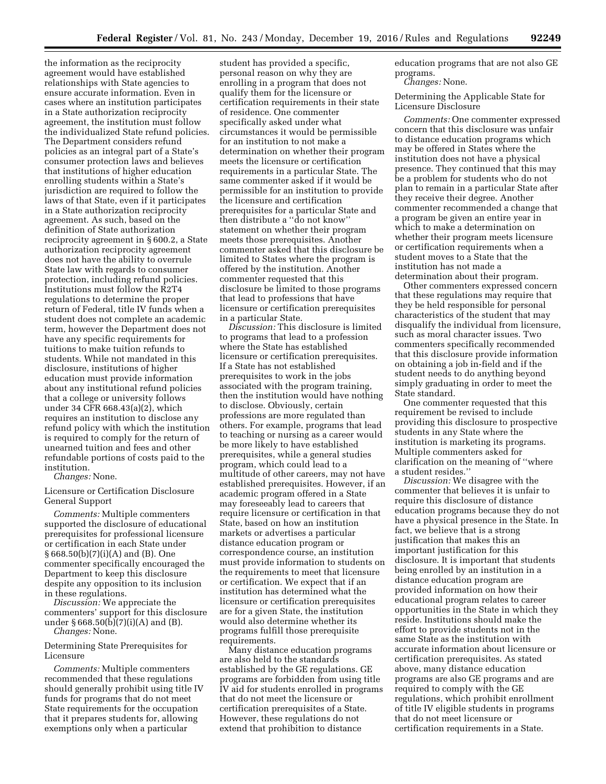the information as the reciprocity agreement would have established relationships with State agencies to ensure accurate information. Even in cases where an institution participates in a State authorization reciprocity agreement, the institution must follow the individualized State refund policies. The Department considers refund policies as an integral part of a State's consumer protection laws and believes that institutions of higher education enrolling students within a State's jurisdiction are required to follow the laws of that State, even if it participates in a State authorization reciprocity agreement. As such, based on the definition of State authorization reciprocity agreement in § 600.2, a State authorization reciprocity agreement does not have the ability to overrule State law with regards to consumer protection, including refund policies. Institutions must follow the R2T4 regulations to determine the proper return of Federal, title IV funds when a student does not complete an academic term, however the Department does not have any specific requirements for tuitions to make tuition refunds to students. While not mandated in this disclosure, institutions of higher education must provide information about any institutional refund policies that a college or university follows under 34 CFR 668.43(a)(2), which requires an institution to disclose any refund policy with which the institution is required to comply for the return of unearned tuition and fees and other refundable portions of costs paid to the institution.

*Changes:* None.

Licensure or Certification Disclosure General Support

*Comments:* Multiple commenters supported the disclosure of educational prerequisites for professional licensure or certification in each State under § 668.50(b)(7)(i)(A) and (B). One commenter specifically encouraged the Department to keep this disclosure despite any opposition to its inclusion in these regulations.

*Discussion:* We appreciate the commenters' support for this disclosure under  $\S 668.50(b)(7)(i)(A)$  and (B). *Changes:* None.

Determining State Prerequisites for Licensure

*Comments:* Multiple commenters recommended that these regulations should generally prohibit using title IV funds for programs that do not meet State requirements for the occupation that it prepares students for, allowing exemptions only when a particular

student has provided a specific, personal reason on why they are enrolling in a program that does not qualify them for the licensure or certification requirements in their state of residence. One commenter specifically asked under what circumstances it would be permissible for an institution to not make a determination on whether their program meets the licensure or certification requirements in a particular State. The same commenter asked if it would be permissible for an institution to provide the licensure and certification prerequisites for a particular State and then distribute a ''do not know'' statement on whether their program meets those prerequisites. Another commenter asked that this disclosure be limited to States where the program is offered by the institution. Another commenter requested that this disclosure be limited to those programs that lead to professions that have licensure or certification prerequisites in a particular State.

*Discussion:* This disclosure is limited to programs that lead to a profession where the State has established licensure or certification prerequisites. If a State has not established prerequisites to work in the jobs associated with the program training, then the institution would have nothing to disclose. Obviously, certain professions are more regulated than others. For example, programs that lead to teaching or nursing as a career would be more likely to have established prerequisites, while a general studies program, which could lead to a multitude of other careers, may not have established prerequisites. However, if an academic program offered in a State may foreseeably lead to careers that require licensure or certification in that State, based on how an institution markets or advertises a particular distance education program or correspondence course, an institution must provide information to students on the requirements to meet that licensure or certification. We expect that if an institution has determined what the licensure or certification prerequisites are for a given State, the institution would also determine whether its programs fulfill those prerequisite requirements.

Many distance education programs are also held to the standards established by the GE regulations. GE programs are forbidden from using title IV aid for students enrolled in programs that do not meet the licensure or certification prerequisites of a State. However, these regulations do not extend that prohibition to distance

education programs that are not also GE programs.

*Changes:* None.

Determining the Applicable State for Licensure Disclosure

*Comments:* One commenter expressed concern that this disclosure was unfair to distance education programs which may be offered in States where the institution does not have a physical presence. They continued that this may be a problem for students who do not plan to remain in a particular State after they receive their degree. Another commenter recommended a change that a program be given an entire year in which to make a determination on whether their program meets licensure or certification requirements when a student moves to a State that the institution has not made a determination about their program.

Other commenters expressed concern that these regulations may require that they be held responsible for personal characteristics of the student that may disqualify the individual from licensure, such as moral character issues. Two commenters specifically recommended that this disclosure provide information on obtaining a job in-field and if the student needs to do anything beyond simply graduating in order to meet the State standard.

One commenter requested that this requirement be revised to include providing this disclosure to prospective students in any State where the institution is marketing its programs. Multiple commenters asked for clarification on the meaning of ''where a student resides.''

*Discussion:* We disagree with the commenter that believes it is unfair to require this disclosure of distance education programs because they do not have a physical presence in the State. In fact, we believe that is a strong justification that makes this an important justification for this disclosure. It is important that students being enrolled by an institution in a distance education program are provided information on how their educational program relates to career opportunities in the State in which they reside. Institutions should make the effort to provide students not in the same State as the institution with accurate information about licensure or certification prerequisites. As stated above, many distance education programs are also GE programs and are required to comply with the GE regulations, which prohibit enrollment of title IV eligible students in programs that do not meet licensure or certification requirements in a State.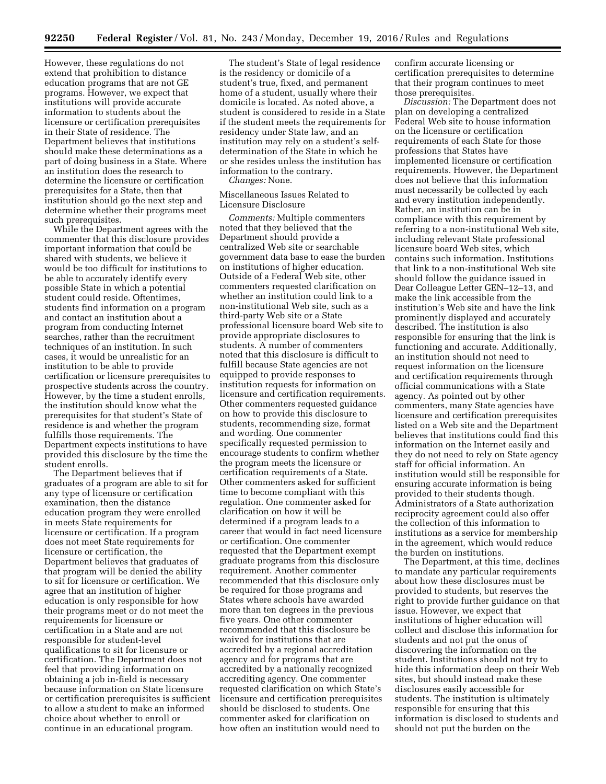However, these regulations do not extend that prohibition to distance education programs that are not GE programs. However, we expect that institutions will provide accurate information to students about the licensure or certification prerequisites in their State of residence. The Department believes that institutions should make these determinations as a part of doing business in a State. Where an institution does the research to determine the licensure or certification prerequisites for a State, then that institution should go the next step and determine whether their programs meet such prerequisites.

While the Department agrees with the commenter that this disclosure provides important information that could be shared with students, we believe it would be too difficult for institutions to be able to accurately identify every possible State in which a potential student could reside. Oftentimes, students find information on a program and contact an institution about a program from conducting Internet searches, rather than the recruitment techniques of an institution. In such cases, it would be unrealistic for an institution to be able to provide certification or licensure prerequisites to prospective students across the country. However, by the time a student enrolls, the institution should know what the prerequisites for that student's State of residence is and whether the program fulfills those requirements. The Department expects institutions to have provided this disclosure by the time the student enrolls.

The Department believes that if graduates of a program are able to sit for any type of licensure or certification examination, then the distance education program they were enrolled in meets State requirements for licensure or certification. If a program does not meet State requirements for licensure or certification, the Department believes that graduates of that program will be denied the ability to sit for licensure or certification. We agree that an institution of higher education is only responsible for how their programs meet or do not meet the requirements for licensure or certification in a State and are not responsible for student-level qualifications to sit for licensure or certification. The Department does not feel that providing information on obtaining a job in-field is necessary because information on State licensure or certification prerequisites is sufficient to allow a student to make an informed choice about whether to enroll or continue in an educational program.

The student's State of legal residence is the residency or domicile of a student's true, fixed, and permanent home of a student, usually where their domicile is located. As noted above, a student is considered to reside in a State if the student meets the requirements for residency under State law, and an institution may rely on a student's selfdetermination of the State in which he or she resides unless the institution has information to the contrary.

*Changes:* None.

## Miscellaneous Issues Related to Licensure Disclosure

*Comments:* Multiple commenters noted that they believed that the Department should provide a centralized Web site or searchable government data base to ease the burden on institutions of higher education. Outside of a Federal Web site, other commenters requested clarification on whether an institution could link to a non-institutional Web site, such as a third-party Web site or a State professional licensure board Web site to provide appropriate disclosures to students. A number of commenters noted that this disclosure is difficult to fulfill because State agencies are not equipped to provide responses to institution requests for information on licensure and certification requirements. Other commenters requested guidance on how to provide this disclosure to students, recommending size, format and wording. One commenter specifically requested permission to encourage students to confirm whether the program meets the licensure or certification requirements of a State. Other commenters asked for sufficient time to become compliant with this regulation. One commenter asked for clarification on how it will be determined if a program leads to a career that would in fact need licensure or certification. One commenter requested that the Department exempt graduate programs from this disclosure requirement. Another commenter recommended that this disclosure only be required for those programs and States where schools have awarded more than ten degrees in the previous five years. One other commenter recommended that this disclosure be waived for institutions that are accredited by a regional accreditation agency and for programs that are accredited by a nationally recognized accrediting agency. One commenter requested clarification on which State's licensure and certification prerequisites should be disclosed to students. One commenter asked for clarification on how often an institution would need to

confirm accurate licensing or certification prerequisites to determine that their program continues to meet those prerequisites.

*Discussion:* The Department does not plan on developing a centralized Federal Web site to house information on the licensure or certification requirements of each State for those professions that States have implemented licensure or certification requirements. However, the Department does not believe that this information must necessarily be collected by each and every institution independently. Rather, an institution can be in compliance with this requirement by referring to a non-institutional Web site, including relevant State professional licensure board Web sites, which contains such information. Institutions that link to a non-institutional Web site should follow the guidance issued in Dear Colleague Letter GEN–12–13, and make the link accessible from the institution's Web site and have the link prominently displayed and accurately described. The institution is also responsible for ensuring that the link is functioning and accurate. Additionally, an institution should not need to request information on the licensure and certification requirements through official communications with a State agency. As pointed out by other commenters, many State agencies have licensure and certification prerequisites listed on a Web site and the Department believes that institutions could find this information on the Internet easily and they do not need to rely on State agency staff for official information. An institution would still be responsible for ensuring accurate information is being provided to their students though. Administrators of a State authorization reciprocity agreement could also offer the collection of this information to institutions as a service for membership in the agreement, which would reduce the burden on institutions.

The Department, at this time, declines to mandate any particular requirements about how these disclosures must be provided to students, but reserves the right to provide further guidance on that issue. However, we expect that institutions of higher education will collect and disclose this information for students and not put the onus of discovering the information on the student. Institutions should not try to hide this information deep on their Web sites, but should instead make these disclosures easily accessible for students. The institution is ultimately responsible for ensuring that this information is disclosed to students and should not put the burden on the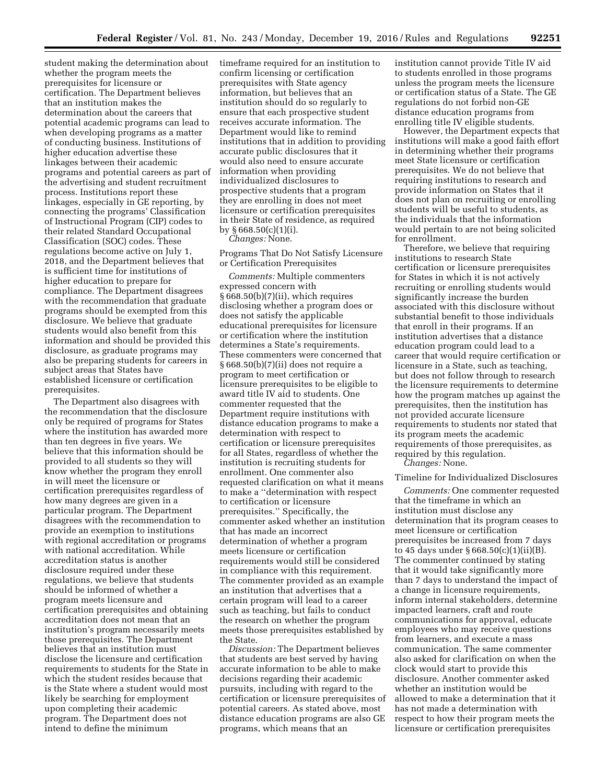student making the determination about whether the program meets the prerequisites for licensure or certification. The Department believes that an institution makes the determination about the careers that potential academic programs can lead to when developing programs as a matter of conducting business. Institutions of higher education advertise these linkages between their academic programs and potential careers as part of the advertising and student recruitment process. Institutions report these linkages, especially in GE reporting, by connecting the programs' Classification of Instructional Program (CIP) codes to their related Standard Occupational Classification (SOC) codes. These regulations become active on July 1, 2018, and the Department believes that is sufficient time for institutions of higher education to prepare for compliance. The Department disagrees with the recommendation that graduate programs should be exempted from this disclosure. We believe that graduate students would also benefit from this information and should be provided this disclosure, as graduate programs may also be preparing students for careers in subject areas that States have established licensure or certification prerequisites.

The Department also disagrees with the recommendation that the disclosure only be required of programs for States where the institution has awarded more than ten degrees in five years. We believe that this information should be provided to all students so they will know whether the program they enroll in will meet the licensure or certification prerequisites regardless of how many degrees are given in a particular program. The Department disagrees with the recommendation to provide an exemption to institutions with regional accreditation or programs with national accreditation. While accreditation status is another disclosure required under these regulations, we believe that students should be informed of whether a program meets licensure and certification prerequisites and obtaining accreditation does not mean that an institution's program necessarily meets those prerequisites. The Department believes that an institution must disclose the licensure and certification requirements to students for the State in which the student resides because that is the State where a student would most likely be searching for employment upon completing their academic program. The Department does not intend to define the minimum

timeframe required for an institution to confirm licensing or certification prerequisites with State agency information, but believes that an institution should do so regularly to ensure that each prospective student receives accurate information. The Department would like to remind institutions that in addition to providing accurate public disclosures that it would also need to ensure accurate information when providing individualized disclosures to prospective students that a program they are enrolling in does not meet licensure or certification prerequisites in their State of residence, as required by  $§ 668.50(c)(1)(i)$ .

*Changes:* None.

Programs That Do Not Satisfy Licensure or Certification Prerequisites

*Comments:* Multiple commenters expressed concern with § 668.50(b)(7)(ii), which requires disclosing whether a program does or does not satisfy the applicable educational prerequisites for licensure or certification where the institution determines a State's requirements. These commenters were concerned that § 668.50(b)(7)(ii) does not require a program to meet certification or licensure prerequisites to be eligible to award title IV aid to students. One commenter requested that the Department require institutions with distance education programs to make a determination with respect to certification or licensure prerequisites for all States, regardless of whether the institution is recruiting students for enrollment. One commenter also requested clarification on what it means to make a ''determination with respect to certification or licensure prerequisites.'' Specifically, the commenter asked whether an institution that has made an incorrect determination of whether a program meets licensure or certification requirements would still be considered in compliance with this requirement. The commenter provided as an example an institution that advertises that a certain program will lead to a career such as teaching, but fails to conduct the research on whether the program meets those prerequisites established by the State.

*Discussion:* The Department believes that students are best served by having accurate information to be able to make decisions regarding their academic pursuits, including with regard to the certification or licensure prerequisites of potential careers. As stated above, most distance education programs are also GE programs, which means that an

institution cannot provide Title IV aid to students enrolled in those programs unless the program meets the licensure or certification status of a State. The GE regulations do not forbid non-GE distance education programs from enrolling title IV eligible students.

However, the Department expects that institutions will make a good faith effort in determining whether their programs meet State licensure or certification prerequisites. We do not believe that requiring institutions to research and provide information on States that it does not plan on recruiting or enrolling students will be useful to students, as the individuals that the information would pertain to are not being solicited for enrollment.

Therefore, we believe that requiring institutions to research State certification or licensure prerequisites for States in which it is not actively recruiting or enrolling students would significantly increase the burden associated with this disclosure without substantial benefit to those individuals that enroll in their programs. If an institution advertises that a distance education program could lead to a career that would require certification or licensure in a State, such as teaching, but does not follow through to research the licensure requirements to determine how the program matches up against the prerequisites, then the institution has not provided accurate licensure requirements to students nor stated that its program meets the academic requirements of those prerequisites, as required by this regulation. *Changes:* None.

## Timeline for Individualized Disclosures

*Comments:* One commenter requested that the timeframe in which an institution must disclose any determination that its program ceases to meet licensure or certification prerequisites be increased from 7 days to 45 days under § 668.50(c)(1)(ii)(B). The commenter continued by stating that it would take significantly more than 7 days to understand the impact of a change in licensure requirements, inform internal stakeholders, determine impacted learners, craft and route communications for approval, educate employees who may receive questions from learners, and execute a mass communication. The same commenter also asked for clarification on when the clock would start to provide this disclosure. Another commenter asked whether an institution would be allowed to make a determination that it has not made a determination with respect to how their program meets the licensure or certification prerequisites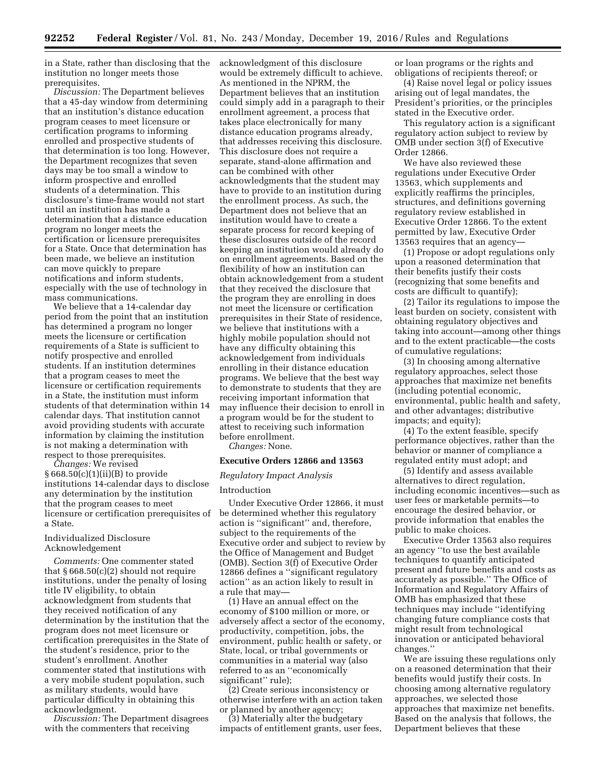in a State, rather than disclosing that the institution no longer meets those prerequisites.

*Discussion:* The Department believes that a 45-day window from determining that an institution's distance education program ceases to meet licensure or certification programs to informing enrolled and prospective students of that determination is too long. However, the Department recognizes that seven days may be too small a window to inform prospective and enrolled students of a determination. This disclosure's time-frame would not start until an institution has made a determination that a distance education program no longer meets the certification or licensure prerequisites for a State. Once that determination has been made, we believe an institution can move quickly to prepare notifications and inform students, especially with the use of technology in mass communications.

We believe that a 14-calendar day period from the point that an institution has determined a program no longer meets the licensure or certification requirements of a State is sufficient to notify prospective and enrolled students. If an institution determines that a program ceases to meet the licensure or certification requirements in a State, the institution must inform students of that determination within 14 calendar days. That institution cannot avoid providing students with accurate information by claiming the institution is not making a determination with respect to those prerequisites.

*Changes:* We revised § 668.50(c)(1)(ii)(B) to provide institutions 14-calendar days to disclose any determination by the institution that the program ceases to meet licensure or certification prerequisites of a State.

# Individualized Disclosure Acknowledgement

*Comments:* One commenter stated that § 668.50(c)(2) should not require institutions, under the penalty of losing title IV eligibility, to obtain acknowledgment from students that they received notification of any determination by the institution that the program does not meet licensure or certification prerequisites in the State of the student's residence, prior to the student's enrollment. Another commenter stated that institutions with a very mobile student population, such as military students, would have particular difficulty in obtaining this acknowledgment.

*Discussion:* The Department disagrees with the commenters that receiving

acknowledgment of this disclosure would be extremely difficult to achieve. As mentioned in the NPRM, the Department believes that an institution could simply add in a paragraph to their enrollment agreement, a process that takes place electronically for many distance education programs already, that addresses receiving this disclosure. This disclosure does not require a separate, stand-alone affirmation and can be combined with other acknowledgments that the student may have to provide to an institution during the enrollment process. As such, the Department does not believe that an institution would have to create a separate process for record keeping of these disclosures outside of the record keeping an institution would already do on enrollment agreements. Based on the flexibility of how an institution can obtain acknowledgement from a student that they received the disclosure that the program they are enrolling in does not meet the licensure or certification prerequisites in their State of residence, we believe that institutions with a highly mobile population should not have any difficulty obtaining this acknowledgement from individuals enrolling in their distance education programs. We believe that the best way to demonstrate to students that they are receiving important information that may influence their decision to enroll in a program would be for the student to attest to receiving such information before enrollment.

*Changes:* None.

#### **Executive Orders 12866 and 13563**

#### *Regulatory Impact Analysis*

#### Introduction

Under Executive Order 12866, it must be determined whether this regulatory action is ''significant'' and, therefore, subject to the requirements of the Executive order and subject to review by the Office of Management and Budget (OMB). Section 3(f) of Executive Order 12866 defines a ''significant regulatory action'' as an action likely to result in a rule that may—

(1) Have an annual effect on the economy of \$100 million or more, or adversely affect a sector of the economy, productivity, competition, jobs, the environment, public health or safety, or State, local, or tribal governments or communities in a material way (also referred to as an ''economically significant'' rule);

(2) Create serious inconsistency or otherwise interfere with an action taken or planned by another agency;

(3) Materially alter the budgetary impacts of entitlement grants, user fees, or loan programs or the rights and obligations of recipients thereof; or

(4) Raise novel legal or policy issues arising out of legal mandates, the President's priorities, or the principles stated in the Executive order.

This regulatory action is a significant regulatory action subject to review by OMB under section 3(f) of Executive Order 12866.

We have also reviewed these regulations under Executive Order 13563, which supplements and explicitly reaffirms the principles, structures, and definitions governing regulatory review established in Executive Order 12866. To the extent permitted by law, Executive Order 13563 requires that an agency—

(1) Propose or adopt regulations only upon a reasoned determination that their benefits justify their costs (recognizing that some benefits and costs are difficult to quantify);

(2) Tailor its regulations to impose the least burden on society, consistent with obtaining regulatory objectives and taking into account—among other things and to the extent practicable—the costs of cumulative regulations;

(3) In choosing among alternative regulatory approaches, select those approaches that maximize net benefits (including potential economic, environmental, public health and safety, and other advantages; distributive impacts; and equity);

(4) To the extent feasible, specify performance objectives, rather than the behavior or manner of compliance a regulated entity must adopt; and

(5) Identify and assess available alternatives to direct regulation, including economic incentives—such as user fees or marketable permits—to encourage the desired behavior, or provide information that enables the public to make choices.

Executive Order 13563 also requires an agency ''to use the best available techniques to quantify anticipated present and future benefits and costs as accurately as possible.'' The Office of Information and Regulatory Affairs of OMB has emphasized that these techniques may include ''identifying changing future compliance costs that might result from technological innovation or anticipated behavioral changes.''

We are issuing these regulations only on a reasoned determination that their benefits would justify their costs. In choosing among alternative regulatory approaches, we selected those approaches that maximize net benefits. Based on the analysis that follows, the Department believes that these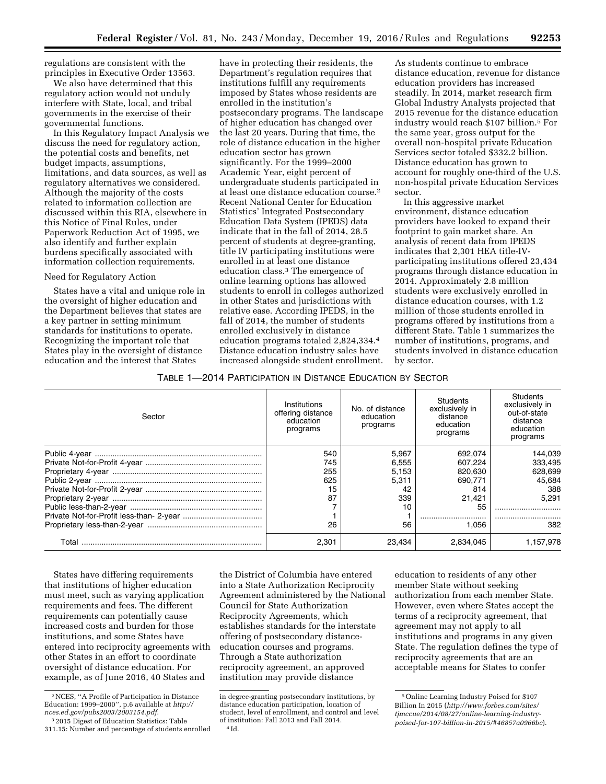regulations are consistent with the principles in Executive Order 13563.

We also have determined that this regulatory action would not unduly interfere with State, local, and tribal governments in the exercise of their governmental functions.

In this Regulatory Impact Analysis we discuss the need for regulatory action, the potential costs and benefits, net budget impacts, assumptions, limitations, and data sources, as well as regulatory alternatives we considered. Although the majority of the costs related to information collection are discussed within this RIA, elsewhere in this Notice of Final Rules, under Paperwork Reduction Act of 1995, we also identify and further explain burdens specifically associated with information collection requirements.

## Need for Regulatory Action

States have a vital and unique role in the oversight of higher education and the Department believes that states are a key partner in setting minimum standards for institutions to operate. Recognizing the important role that States play in the oversight of distance education and the interest that States

have in protecting their residents, the Department's regulation requires that institutions fulfill any requirements imposed by States whose residents are enrolled in the institution's postsecondary programs. The landscape of higher education has changed over the last 20 years. During that time, the role of distance education in the higher education sector has grown significantly. For the 1999–2000 Academic Year, eight percent of undergraduate students participated in at least one distance education course.2 Recent National Center for Education Statistics' Integrated Postsecondary Education Data System (IPEDS) data indicate that in the fall of 2014, 28.5 percent of students at degree-granting, title IV participating institutions were enrolled in at least one distance education class.3 The emergence of online learning options has allowed students to enroll in colleges authorized in other States and jurisdictions with relative ease. According IPEDS, in the fall of 2014, the number of students enrolled exclusively in distance education programs totaled 2,824,334.4 Distance education industry sales have increased alongside student enrollment.

As students continue to embrace distance education, revenue for distance education providers has increased steadily. In 2014, market research firm Global Industry Analysts projected that 2015 revenue for the distance education industry would reach \$107 billion.5 For the same year, gross output for the overall non-hospital private Education Services sector totaled \$332.2 billion. Distance education has grown to account for roughly one-third of the U.S. non-hospital private Education Services sector.

In this aggressive market environment, distance education providers have looked to expand their footprint to gain market share. An analysis of recent data from IPEDS indicates that 2,301 HEA title-IVparticipating institutions offered 23,434 programs through distance education in 2014. Approximately 2.8 million students were exclusively enrolled in distance education courses, with 1.2 million of those students enrolled in programs offered by institutions from a different State. Table 1 summarizes the number of institutions, programs, and students involved in distance education by sector.

# TABLE 1—2014 PARTICIPATION IN DISTANCE EDUCATION BY SECTOR

| Sector | Institutions<br>offering distance<br>education<br>programs | No. of distance<br>education<br>programs | Students<br>exclusively in<br>distance<br>education<br>programs | Students<br>exclusively in<br>out-of-state<br>distance<br>education<br>programs |
|--------|------------------------------------------------------------|------------------------------------------|-----------------------------------------------------------------|---------------------------------------------------------------------------------|
|        | 540                                                        | 5.967                                    | 692.074                                                         | 144.039                                                                         |
|        | 745                                                        | 6.555                                    | 607.224                                                         | 333,495                                                                         |
|        | 255                                                        | 5,153                                    | 820.630                                                         | 628.699                                                                         |
|        | 625                                                        | 5.311                                    | 690.771                                                         | 45.684                                                                          |
|        | 15                                                         | 42                                       | 814                                                             | 388                                                                             |
|        | 87                                                         | 339                                      | 21.421                                                          | 5.291                                                                           |
|        |                                                            | 10                                       | 55                                                              |                                                                                 |
|        |                                                            |                                          |                                                                 |                                                                                 |
|        | 26                                                         | 56                                       | 1.056                                                           | 382                                                                             |
| Total  | 2.301                                                      | 23.434                                   | 2.834.045                                                       | l.157.978                                                                       |

States have differing requirements that institutions of higher education must meet, such as varying application requirements and fees. The different requirements can potentially cause increased costs and burden for those institutions, and some States have entered into reciprocity agreements with other States in an effort to coordinate oversight of distance education. For example, as of June 2016, 40 States and

the District of Columbia have entered into a State Authorization Reciprocity Agreement administered by the National Council for State Authorization Reciprocity Agreements, which establishes standards for the interstate offering of postsecondary distanceeducation courses and programs. Through a State authorization reciprocity agreement, an approved institution may provide distance

education to residents of any other member State without seeking authorization from each member State. However, even where States accept the terms of a reciprocity agreement, that agreement may not apply to all institutions and programs in any given State. The regulation defines the type of reciprocity agreements that are an acceptable means for States to confer

<sup>2</sup>NCES, ''A Profile of Participation in Distance Education: 1999–2000'', p.6 available at *[http://](http://nces.ed.gov/pubs2003/2003154.pdf) [nces.ed.gov/pubs2003/2003154.pdf](http://nces.ed.gov/pubs2003/2003154.pdf)*.

<sup>3</sup> 2015 Digest of Education Statistics: Table 311.15: Number and percentage of students enrolled

in degree-granting postsecondary institutions, by distance education participation, location of student, level of enrollment, and control and level of institution: Fall 2013 and Fall 2014. 4 Id.

<sup>5</sup>Online Learning Industry Poised for \$107 Billion In 2015 (*[http://www.forbes.com/sites/](http://www.forbes.com/sites/tjmccue/2014/08/27/online-learning-industry-poised-for-107-billion-in-2015/#46857a0966bc)  [tjmccue/2014/08/27/online-learning-industry](http://www.forbes.com/sites/tjmccue/2014/08/27/online-learning-industry-poised-for-107-billion-in-2015/#46857a0966bc)[poised-for-107-billion-in-2015/#46857a0966bc](http://www.forbes.com/sites/tjmccue/2014/08/27/online-learning-industry-poised-for-107-billion-in-2015/#46857a0966bc)*).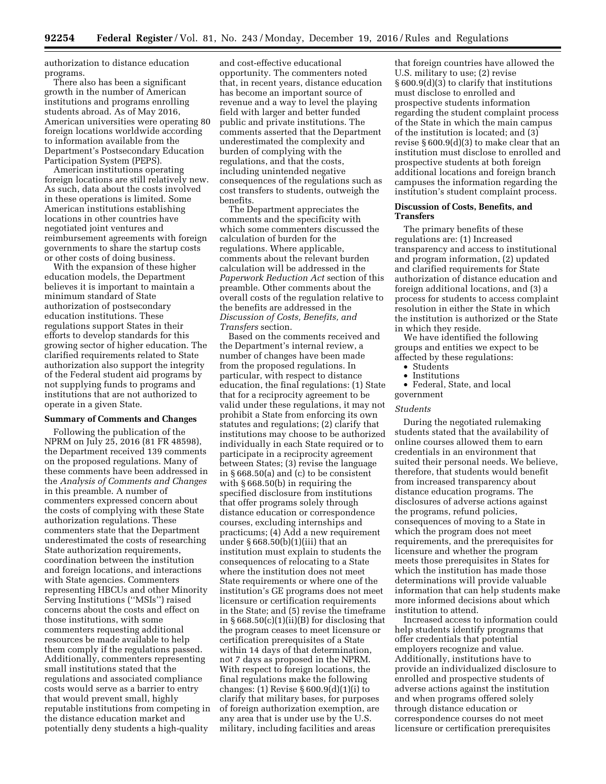authorization to distance education programs.

There also has been a significant growth in the number of American institutions and programs enrolling students abroad. As of May 2016, American universities were operating 80 foreign locations worldwide according to information available from the Department's Postsecondary Education Participation System (PEPS).

American institutions operating foreign locations are still relatively new. As such, data about the costs involved in these operations is limited. Some American institutions establishing locations in other countries have negotiated joint ventures and reimbursement agreements with foreign governments to share the startup costs or other costs of doing business.

With the expansion of these higher education models, the Department believes it is important to maintain a minimum standard of State authorization of postsecondary education institutions. These regulations support States in their efforts to develop standards for this growing sector of higher education. The clarified requirements related to State authorization also support the integrity of the Federal student aid programs by not supplying funds to programs and institutions that are not authorized to operate in a given State.

### **Summary of Comments and Changes**

Following the publication of the NPRM on July 25, 2016 (81 FR 48598), the Department received 139 comments on the proposed regulations. Many of these comments have been addressed in the *Analysis of Comments and Changes*  in this preamble. A number of commenters expressed concern about the costs of complying with these State authorization regulations. These commenters state that the Department underestimated the costs of researching State authorization requirements, coordination between the institution and foreign locations, and interactions with State agencies. Commenters representing HBCUs and other Minority Serving Institutions (''MSIs'') raised concerns about the costs and effect on those institutions, with some commenters requesting additional resources be made available to help them comply if the regulations passed. Additionally, commenters representing small institutions stated that the regulations and associated compliance costs would serve as a barrier to entry that would prevent small, highly reputable institutions from competing in the distance education market and potentially deny students a high-quality

and cost-effective educational opportunity. The commenters noted that, in recent years, distance education has become an important source of revenue and a way to level the playing field with larger and better funded public and private institutions. The comments asserted that the Department underestimated the complexity and burden of complying with the regulations, and that the costs, including unintended negative consequences of the regulations such as cost transfers to students, outweigh the benefits.

The Department appreciates the comments and the specificity with which some commenters discussed the calculation of burden for the regulations. Where applicable, comments about the relevant burden calculation will be addressed in the *Paperwork Reduction Act* section of this preamble. Other comments about the overall costs of the regulation relative to the benefits are addressed in the *Discussion of Costs, Benefits, and Transfers* section.

Based on the comments received and the Department's internal review, a number of changes have been made from the proposed regulations. In particular, with respect to distance education, the final regulations: (1) State that for a reciprocity agreement to be valid under these regulations, it may not prohibit a State from enforcing its own statutes and regulations; (2) clarify that institutions may choose to be authorized individually in each State required or to participate in a reciprocity agreement between States; (3) revise the language in § 668.50(a) and (c) to be consistent with § 668.50(b) in requiring the specified disclosure from institutions that offer programs solely through distance education or correspondence courses, excluding internships and practicums; (4) Add a new requirement under § 668.50(b)(1)(iii) that an institution must explain to students the consequences of relocating to a State where the institution does not meet State requirements or where one of the institution's GE programs does not meet licensure or certification requirements in the State; and (5) revise the timeframe in  $\S 668.50(c)(1)(ii)(B)$  for disclosing that the program ceases to meet licensure or certification prerequisites of a State within 14 days of that determination, not 7 days as proposed in the NPRM. With respect to foreign locations, the final regulations make the following changes: (1) Revise § 600.9(d)(1)(i) to clarify that military bases, for purposes of foreign authorization exemption, are any area that is under use by the U.S. military, including facilities and areas

that foreign countries have allowed the U.S. military to use; (2) revise § 600.9(d)(3) to clarify that institutions must disclose to enrolled and prospective students information regarding the student complaint process of the State in which the main campus of the institution is located; and (3) revise § 600.9(d)(3) to make clear that an institution must disclose to enrolled and prospective students at both foreign additional locations and foreign branch campuses the information regarding the institution's student complaint process.

## **Discussion of Costs, Benefits, and Transfers**

The primary benefits of these regulations are: (1) Increased transparency and access to institutional and program information, (2) updated and clarified requirements for State authorization of distance education and foreign additional locations, and (3) a process for students to access complaint resolution in either the State in which the institution is authorized or the State in which they reside.

We have identified the following groups and entities we expect to be affected by these regulations:

- Students
- Institutions
- Federal, State, and local

government

#### *Students*

During the negotiated rulemaking students stated that the availability of online courses allowed them to earn credentials in an environment that suited their personal needs. We believe, therefore, that students would benefit from increased transparency about distance education programs. The disclosures of adverse actions against the programs, refund policies, consequences of moving to a State in which the program does not meet requirements, and the prerequisites for licensure and whether the program meets those prerequisites in States for which the institution has made those determinations will provide valuable information that can help students make more informed decisions about which institution to attend.

Increased access to information could help students identify programs that offer credentials that potential employers recognize and value. Additionally, institutions have to provide an individualized disclosure to enrolled and prospective students of adverse actions against the institution and when programs offered solely through distance education or correspondence courses do not meet licensure or certification prerequisites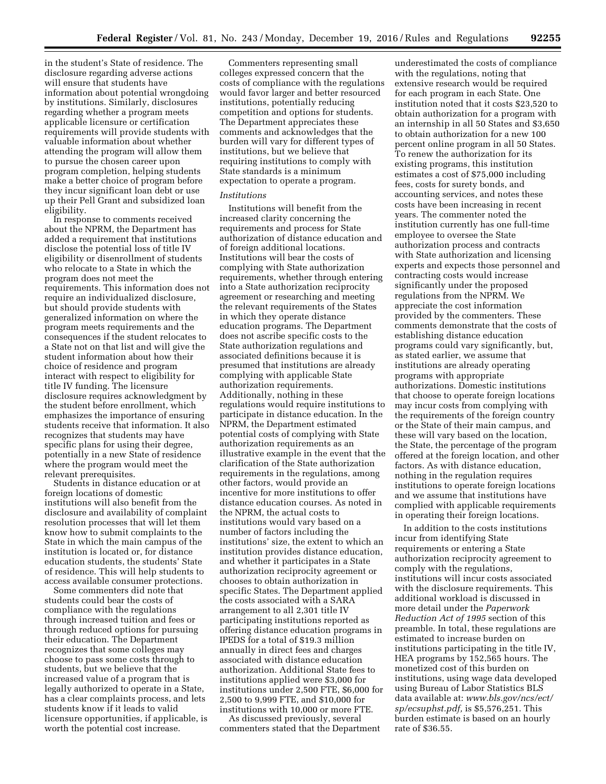in the student's State of residence. The disclosure regarding adverse actions will ensure that students have information about potential wrongdoing by institutions. Similarly, disclosures regarding whether a program meets applicable licensure or certification requirements will provide students with valuable information about whether attending the program will allow them to pursue the chosen career upon program completion, helping students make a better choice of program before they incur significant loan debt or use up their Pell Grant and subsidized loan eligibility.

In response to comments received about the NPRM, the Department has added a requirement that institutions disclose the potential loss of title IV eligibility or disenrollment of students who relocate to a State in which the program does not meet the requirements. This information does not require an individualized disclosure, but should provide students with generalized information on where the program meets requirements and the consequences if the student relocates to a State not on that list and will give the student information about how their choice of residence and program interact with respect to eligibility for title IV funding. The licensure disclosure requires acknowledgment by the student before enrollment, which emphasizes the importance of ensuring students receive that information. It also recognizes that students may have specific plans for using their degree, potentially in a new State of residence where the program would meet the relevant prerequisites.

Students in distance education or at foreign locations of domestic institutions will also benefit from the disclosure and availability of complaint resolution processes that will let them know how to submit complaints to the State in which the main campus of the institution is located or, for distance education students, the students' State of residence. This will help students to access available consumer protections.

Some commenters did note that students could bear the costs of compliance with the regulations through increased tuition and fees or through reduced options for pursuing their education. The Department recognizes that some colleges may choose to pass some costs through to students, but we believe that the increased value of a program that is legally authorized to operate in a State, has a clear complaints process, and lets students know if it leads to valid licensure opportunities, if applicable, is worth the potential cost increase.

Commenters representing small colleges expressed concern that the costs of compliance with the regulations would favor larger and better resourced institutions, potentially reducing competition and options for students. The Department appreciates these comments and acknowledges that the burden will vary for different types of institutions, but we believe that requiring institutions to comply with State standards is a minimum expectation to operate a program.

# *Institutions*

Institutions will benefit from the increased clarity concerning the requirements and process for State authorization of distance education and of foreign additional locations. Institutions will bear the costs of complying with State authorization requirements, whether through entering into a State authorization reciprocity agreement or researching and meeting the relevant requirements of the States in which they operate distance education programs. The Department does not ascribe specific costs to the State authorization regulations and associated definitions because it is presumed that institutions are already complying with applicable State authorization requirements. Additionally, nothing in these regulations would require institutions to participate in distance education. In the NPRM, the Department estimated potential costs of complying with State authorization requirements as an illustrative example in the event that the clarification of the State authorization requirements in the regulations, among other factors, would provide an incentive for more institutions to offer distance education courses. As noted in the NPRM, the actual costs to institutions would vary based on a number of factors including the institutions' size, the extent to which an institution provides distance education, and whether it participates in a State authorization reciprocity agreement or chooses to obtain authorization in specific States. The Department applied the costs associated with a SARA arrangement to all 2,301 title IV participating institutions reported as offering distance education programs in IPEDS for a total of \$19.3 million annually in direct fees and charges associated with distance education authorization. Additional State fees to institutions applied were \$3,000 for institutions under 2,500 FTE, \$6,000 for 2,500 to 9,999 FTE, and \$10,000 for institutions with 10,000 or more FTE.

As discussed previously, several commenters stated that the Department

underestimated the costs of compliance with the regulations, noting that extensive research would be required for each program in each State. One institution noted that it costs \$23,520 to obtain authorization for a program with an internship in all 50 States and \$3,650 to obtain authorization for a new 100 percent online program in all 50 States. To renew the authorization for its existing programs, this institution estimates a cost of \$75,000 including fees, costs for surety bonds, and accounting services, and notes these costs have been increasing in recent years. The commenter noted the institution currently has one full-time employee to oversee the State authorization process and contracts with State authorization and licensing experts and expects those personnel and contracting costs would increase significantly under the proposed regulations from the NPRM. We appreciate the cost information provided by the commenters. These comments demonstrate that the costs of establishing distance education programs could vary significantly, but, as stated earlier, we assume that institutions are already operating programs with appropriate authorizations. Domestic institutions that choose to operate foreign locations may incur costs from complying with the requirements of the foreign country or the State of their main campus, and these will vary based on the location, the State, the percentage of the program offered at the foreign location, and other factors. As with distance education, nothing in the regulation requires institutions to operate foreign locations and we assume that institutions have complied with applicable requirements in operating their foreign locations.

In addition to the costs institutions incur from identifying State requirements or entering a State authorization reciprocity agreement to comply with the regulations, institutions will incur costs associated with the disclosure requirements. This additional workload is discussed in more detail under the *Paperwork Reduction Act of 1995* section of this preamble. In total, these regulations are estimated to increase burden on institutions participating in the title IV, HEA programs by 152,565 hours. The monetized cost of this burden on institutions, using wage data developed using Bureau of Labor Statistics BLS data available at: *[www.bls.gov/ncs/ect/](http://www.bls.gov/ncs/ect/sp/ecsuphst.pdf)  [sp/ecsuphst.pdf,](http://www.bls.gov/ncs/ect/sp/ecsuphst.pdf)* is \$5,576,251. This burden estimate is based on an hourly rate of \$36.55.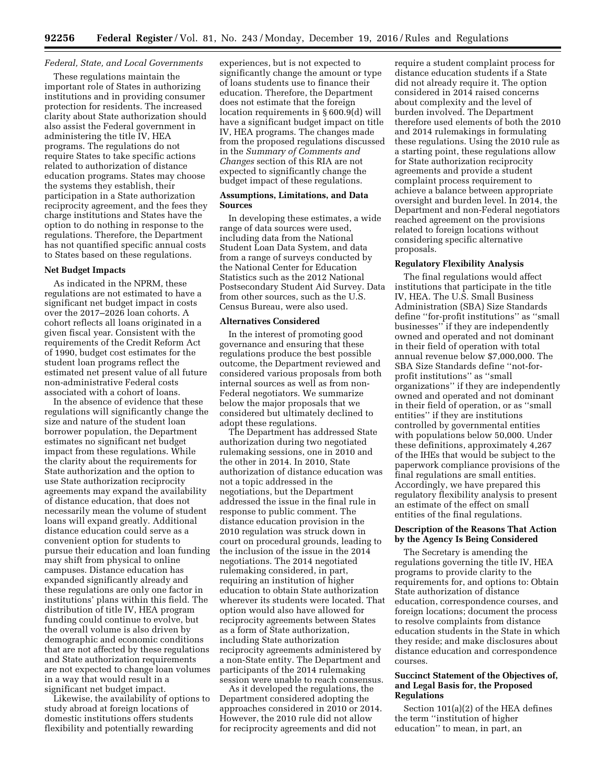# *Federal, State, and Local Governments*

These regulations maintain the important role of States in authorizing institutions and in providing consumer protection for residents. The increased clarity about State authorization should also assist the Federal government in administering the title IV, HEA programs. The regulations do not require States to take specific actions related to authorization of distance education programs. States may choose the systems they establish, their participation in a State authorization reciprocity agreement, and the fees they charge institutions and States have the option to do nothing in response to the regulations. Therefore, the Department has not quantified specific annual costs to States based on these regulations.

## **Net Budget Impacts**

As indicated in the NPRM, these regulations are not estimated to have a significant net budget impact in costs over the 2017–2026 loan cohorts. A cohort reflects all loans originated in a given fiscal year. Consistent with the requirements of the Credit Reform Act of 1990, budget cost estimates for the student loan programs reflect the estimated net present value of all future non-administrative Federal costs associated with a cohort of loans.

In the absence of evidence that these regulations will significantly change the size and nature of the student loan borrower population, the Department estimates no significant net budget impact from these regulations. While the clarity about the requirements for State authorization and the option to use State authorization reciprocity agreements may expand the availability of distance education, that does not necessarily mean the volume of student loans will expand greatly. Additional distance education could serve as a convenient option for students to pursue their education and loan funding may shift from physical to online campuses. Distance education has expanded significantly already and these regulations are only one factor in institutions' plans within this field. The distribution of title IV, HEA program funding could continue to evolve, but the overall volume is also driven by demographic and economic conditions that are not affected by these regulations and State authorization requirements are not expected to change loan volumes in a way that would result in a significant net budget impact.

Likewise, the availability of options to study abroad at foreign locations of domestic institutions offers students flexibility and potentially rewarding

experiences, but is not expected to significantly change the amount or type of loans students use to finance their education. Therefore, the Department does not estimate that the foreign location requirements in § 600.9(d) will have a significant budget impact on title IV, HEA programs. The changes made from the proposed regulations discussed in the *Summary of Comments and Changes* section of this RIA are not expected to significantly change the budget impact of these regulations.

## **Assumptions, Limitations, and Data Sources**

In developing these estimates, a wide range of data sources were used, including data from the National Student Loan Data System, and data from a range of surveys conducted by the National Center for Education Statistics such as the 2012 National Postsecondary Student Aid Survey. Data from other sources, such as the U.S. Census Bureau, were also used.

## **Alternatives Considered**

In the interest of promoting good governance and ensuring that these regulations produce the best possible outcome, the Department reviewed and considered various proposals from both internal sources as well as from non-Federal negotiators. We summarize below the major proposals that we considered but ultimately declined to adopt these regulations.

The Department has addressed State authorization during two negotiated rulemaking sessions, one in 2010 and the other in 2014. In 2010, State authorization of distance education was not a topic addressed in the negotiations, but the Department addressed the issue in the final rule in response to public comment. The distance education provision in the 2010 regulation was struck down in court on procedural grounds, leading to the inclusion of the issue in the 2014 negotiations. The 2014 negotiated rulemaking considered, in part, requiring an institution of higher education to obtain State authorization wherever its students were located. That option would also have allowed for reciprocity agreements between States as a form of State authorization, including State authorization reciprocity agreements administered by a non-State entity. The Department and participants of the 2014 rulemaking session were unable to reach consensus.

As it developed the regulations, the Department considered adopting the approaches considered in 2010 or 2014. However, the 2010 rule did not allow for reciprocity agreements and did not

require a student complaint process for distance education students if a State did not already require it. The option considered in 2014 raised concerns about complexity and the level of burden involved. The Department therefore used elements of both the 2010 and 2014 rulemakings in formulating these regulations. Using the 2010 rule as a starting point, these regulations allow for State authorization reciprocity agreements and provide a student complaint process requirement to achieve a balance between appropriate oversight and burden level. In 2014, the Department and non-Federal negotiators reached agreement on the provisions related to foreign locations without considering specific alternative proposals.

## **Regulatory Flexibility Analysis**

The final regulations would affect institutions that participate in the title IV, HEA. The U.S. Small Business Administration (SBA) Size Standards define ''for-profit institutions'' as ''small businesses'' if they are independently owned and operated and not dominant in their field of operation with total annual revenue below \$7,000,000. The SBA Size Standards define ''not-forprofit institutions'' as ''small organizations'' if they are independently owned and operated and not dominant in their field of operation, or as ''small entities'' if they are institutions controlled by governmental entities with populations below 50,000. Under these definitions, approximately 4,267 of the IHEs that would be subject to the paperwork compliance provisions of the final regulations are small entities. Accordingly, we have prepared this regulatory flexibility analysis to present an estimate of the effect on small entities of the final regulations.

## **Description of the Reasons That Action by the Agency Is Being Considered**

The Secretary is amending the regulations governing the title IV, HEA programs to provide clarity to the requirements for, and options to: Obtain State authorization of distance education, correspondence courses, and foreign locations; document the process to resolve complaints from distance education students in the State in which they reside; and make disclosures about distance education and correspondence courses.

# **Succinct Statement of the Objectives of, and Legal Basis for, the Proposed Regulations**

Section 101(a)(2) of the HEA defines the term ''institution of higher education'' to mean, in part, an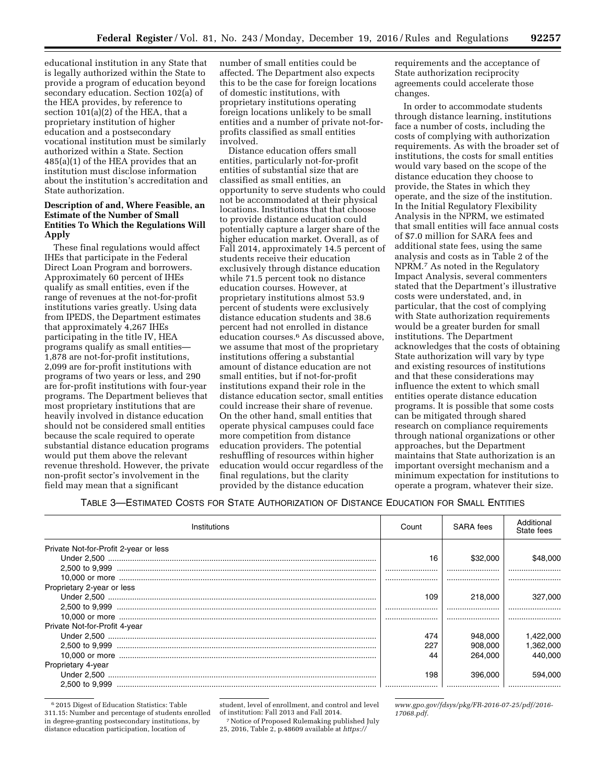educational institution in any State that is legally authorized within the State to provide a program of education beyond secondary education. Section 102(a) of the HEA provides, by reference to section 101(a)(2) of the HEA, that a proprietary institution of higher education and a postsecondary vocational institution must be similarly authorized within a State. Section 485(a)(1) of the HEA provides that an institution must disclose information about the institution's accreditation and State authorization.

# **Description of and, Where Feasible, an Estimate of the Number of Small Entities To Which the Regulations Will Apply**

These final regulations would affect IHEs that participate in the Federal Direct Loan Program and borrowers. Approximately 60 percent of IHEs qualify as small entities, even if the range of revenues at the not-for-profit institutions varies greatly. Using data from IPEDS, the Department estimates that approximately 4,267 IHEs participating in the title IV, HEA programs qualify as small entities— 1,878 are not-for-profit institutions, 2,099 are for-profit institutions with programs of two years or less, and 290 are for-profit institutions with four-year programs. The Department believes that most proprietary institutions that are heavily involved in distance education should not be considered small entities because the scale required to operate substantial distance education programs would put them above the relevant revenue threshold. However, the private non-profit sector's involvement in the field may mean that a significant

number of small entities could be affected. The Department also expects this to be the case for foreign locations of domestic institutions, with proprietary institutions operating foreign locations unlikely to be small entities and a number of private not-forprofits classified as small entities involved.

Distance education offers small entities, particularly not-for-profit entities of substantial size that are classified as small entities, an opportunity to serve students who could not be accommodated at their physical locations. Institutions that that choose to provide distance education could potentially capture a larger share of the higher education market. Overall, as of Fall 2014, approximately 14.5 percent of students receive their education exclusively through distance education while 71.5 percent took no distance education courses. However, at proprietary institutions almost 53.9 percent of students were exclusively distance education students and 38.6 percent had not enrolled in distance education courses.6 As discussed above, we assume that most of the proprietary institutions offering a substantial amount of distance education are not small entities, but if not-for-profit institutions expand their role in the distance education sector, small entities could increase their share of revenue. On the other hand, small entities that operate physical campuses could face more competition from distance education providers. The potential reshuffling of resources within higher education would occur regardless of the final regulations, but the clarity provided by the distance education

requirements and the acceptance of State authorization reciprocity agreements could accelerate those changes.

In order to accommodate students through distance learning, institutions face a number of costs, including the costs of complying with authorization requirements. As with the broader set of institutions, the costs for small entities would vary based on the scope of the distance education they choose to provide, the States in which they operate, and the size of the institution. In the Initial Regulatory Flexibility Analysis in the NPRM, we estimated that small entities will face annual costs of \$7.0 million for SARA fees and additional state fees, using the same analysis and costs as in Table 2 of the NPRM.7 As noted in the Regulatory Impact Analysis, several commenters stated that the Department's illustrative costs were understated, and, in particular, that the cost of complying with State authorization requirements would be a greater burden for small institutions. The Department acknowledges that the costs of obtaining State authorization will vary by type and existing resources of institutions and that these considerations may influence the extent to which small entities operate distance education programs. It is possible that some costs can be mitigated through shared research on compliance requirements through national organizations or other approaches, but the Department maintains that State authorization is an important oversight mechanism and a minimum expectation for institutions to operate a program, whatever their size.

## TABLE 3—ESTIMATED COSTS FOR STATE AUTHORIZATION OF DISTANCE EDUCATION FOR SMALL ENTITIES

| Institutions                          | Count | SARA fees | Additional<br>State fees |
|---------------------------------------|-------|-----------|--------------------------|
| Private Not-for-Profit 2-year or less |       |           |                          |
|                                       | 16    | \$32,000  |                          |
|                                       |       |           |                          |
|                                       |       |           |                          |
| Proprietary 2-year or less            |       |           |                          |
|                                       | 109   | 218,000   | 327.000                  |
|                                       |       |           |                          |
|                                       |       |           |                          |
| Private Not-for-Profit 4-year         |       |           |                          |
|                                       | 474   | 948,000   | 1,422,000                |
|                                       | 227   | 908,000   | 1.362.000                |
|                                       | 44    | 264.000   | 440.000                  |
| Proprietary 4-year                    |       |           |                          |
|                                       | 198   | 396,000   | 594.000                  |
|                                       |       |           |                          |

6 2015 Digest of Education Statistics: Table 311.15: Number and percentage of students enrolled in degree-granting postsecondary institutions, by distance education participation, location of

student, level of enrollment, and control and level

<sup>7</sup> Notice of Proposed Rulemaking published July 25, 2016, Table 2, p.48609 available at *[https://](https://www.gpo.gov/fdsys/pkg/FR-2016-07-25/pdf/2016-17068.pdf)*

*[www.gpo.gov/fdsys/pkg/FR-2016-07-25/pdf/2016-](https://www.gpo.gov/fdsys/pkg/FR-2016-07-25/pdf/2016-17068.pdf)  [17068.pdf.](https://www.gpo.gov/fdsys/pkg/FR-2016-07-25/pdf/2016-17068.pdf)*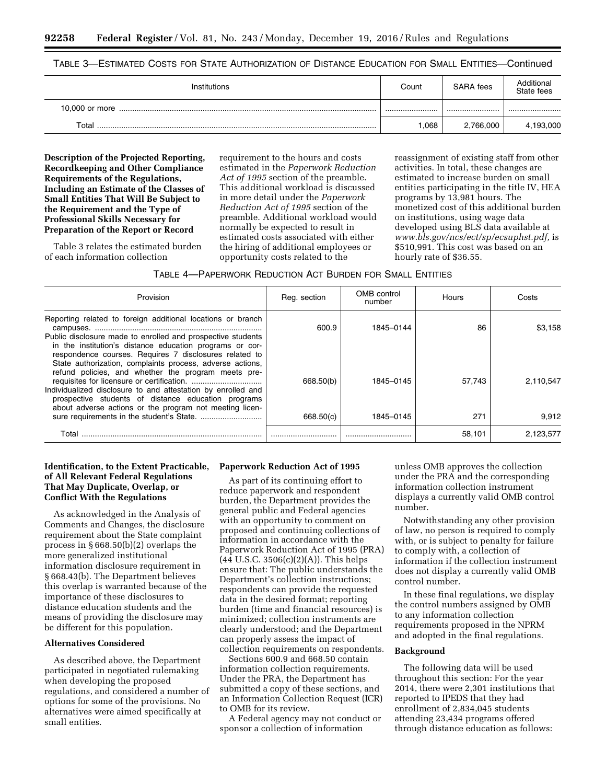TABLE 3—ESTIMATED COSTS FOR STATE AUTHORIZATION OF DISTANCE EDUCATION FOR SMALL ENTITIES—Continued

| Institutions | Count | SARA fees | Additional<br>State fees |
|--------------|-------|-----------|--------------------------|
|              |       |           |                          |
| Total        | .068  | 2.766.000 | 4.193.000                |

**Description of the Projected Reporting, Recordkeeping and Other Compliance Requirements of the Regulations, Including an Estimate of the Classes of Small Entities That Will Be Subject to the Requirement and the Type of Professional Skills Necessary for Preparation of the Report or Record** 

Table 3 relates the estimated burden of each information collection

requirement to the hours and costs estimated in the *Paperwork Reduction Act of 1995* section of the preamble. This additional workload is discussed in more detail under the *Paperwork Reduction Act of 1995* section of the preamble. Additional workload would normally be expected to result in estimated costs associated with either the hiring of additional employees or opportunity costs related to the

reassignment of existing staff from other activities. In total, these changes are estimated to increase burden on small entities participating in the title IV, HEA programs by 13,981 hours. The monetized cost of this additional burden on institutions, using wage data developed using BLS data available at *[www.bls.gov/ncs/ect/sp/ecsuphst.pdf,](http://www.bls.gov/ncs/ect/sp/ecsuphst.pdf)* is \$510,991. This cost was based on an hourly rate of \$36.55.

TABLE 4—PAPERWORK REDUCTION ACT BURDEN FOR SMALL ENTITIES

| Provision                                                                                                                                                                                                                                                                                                                                                    | Reg. section | OMB control<br>number | Hours  | Costs     |
|--------------------------------------------------------------------------------------------------------------------------------------------------------------------------------------------------------------------------------------------------------------------------------------------------------------------------------------------------------------|--------------|-----------------------|--------|-----------|
| Reporting related to foreign additional locations or branch<br>Public disclosure made to enrolled and prospective students<br>in the institution's distance education programs or cor-                                                                                                                                                                       | 600.9        | 1845-0144             | 86     | \$3.158   |
| respondence courses. Requires 7 disclosures related to<br>State authorization, complaints process, adverse actions,<br>refund policies, and whether the program meets pre-<br>Individualized disclosure to and attestation by enrolled and<br>prospective students of distance education programs<br>about adverse actions or the program not meeting licen- | 668.50(b)    | 1845-0145             | 57.743 | 2.110.547 |
|                                                                                                                                                                                                                                                                                                                                                              | 668.50(c)    | 1845-0145             | 271    | 9.912     |
| Total                                                                                                                                                                                                                                                                                                                                                        |              |                       | 58,101 | 2,123,577 |

# **Identification, to the Extent Practicable, of All Relevant Federal Regulations That May Duplicate, Overlap, or Conflict With the Regulations**

As acknowledged in the Analysis of Comments and Changes, the disclosure requirement about the State complaint process in § 668.50(b)(2) overlaps the more generalized institutional information disclosure requirement in § 668.43(b). The Department believes this overlap is warranted because of the importance of these disclosures to distance education students and the means of providing the disclosure may be different for this population.

## **Alternatives Considered**

As described above, the Department participated in negotiated rulemaking when developing the proposed regulations, and considered a number of options for some of the provisions. No alternatives were aimed specifically at small entities.

## **Paperwork Reduction Act of 1995**

As part of its continuing effort to reduce paperwork and respondent burden, the Department provides the general public and Federal agencies with an opportunity to comment on proposed and continuing collections of information in accordance with the Paperwork Reduction Act of 1995 (PRA)  $(44 \text{ U.S.C. } 3506(c)(2)(A))$ . This helps ensure that: The public understands the Department's collection instructions; respondents can provide the requested data in the desired format; reporting burden (time and financial resources) is minimized; collection instruments are clearly understood; and the Department can properly assess the impact of collection requirements on respondents.

Sections 600.9 and 668.50 contain information collection requirements. Under the PRA, the Department has submitted a copy of these sections, and an Information Collection Request (ICR) to OMB for its review.

A Federal agency may not conduct or sponsor a collection of information

unless OMB approves the collection under the PRA and the corresponding information collection instrument displays a currently valid OMB control number.

Notwithstanding any other provision of law, no person is required to comply with, or is subject to penalty for failure to comply with, a collection of information if the collection instrument does not display a currently valid OMB control number.

In these final regulations, we display the control numbers assigned by OMB to any information collection requirements proposed in the NPRM and adopted in the final regulations.

## **Background**

The following data will be used throughout this section: For the year 2014, there were 2,301 institutions that reported to IPEDS that they had enrollment of 2,834,045 students attending 23,434 programs offered through distance education as follows: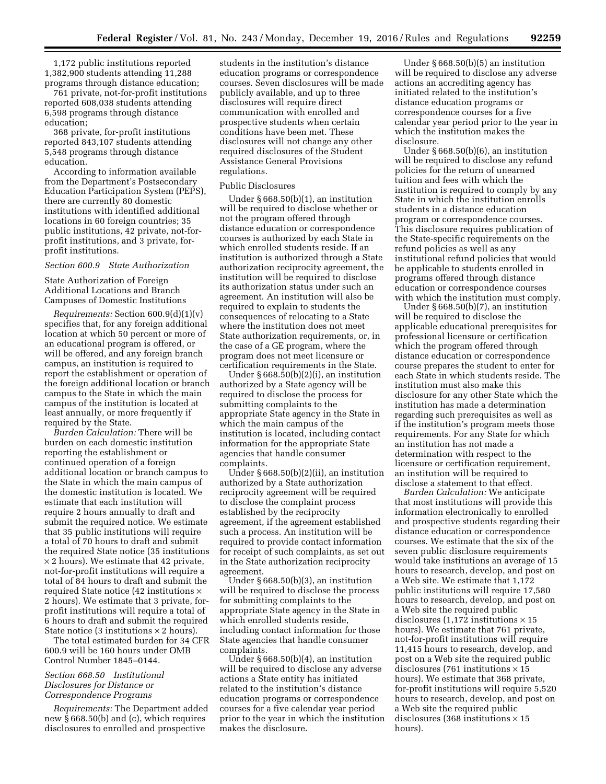1,172 public institutions reported 1,382,900 students attending 11,288 programs through distance education;

761 private, not-for-profit institutions reported 608,038 students attending 6,598 programs through distance education;

368 private, for-profit institutions reported 843,107 students attending 5,548 programs through distance education.

According to information available from the Department's Postsecondary Education Participation System (PEPS), there are currently 80 domestic institutions with identified additional locations in 60 foreign countries; 35 public institutions, 42 private, not-forprofit institutions, and 3 private, forprofit institutions.

### *Section 600.9 State Authorization*

State Authorization of Foreign Additional Locations and Branch Campuses of Domestic Institutions

*Requirements:* Section 600.9(d)(1)(v) specifies that, for any foreign additional location at which 50 percent or more of an educational program is offered, or will be offered, and any foreign branch campus, an institution is required to report the establishment or operation of the foreign additional location or branch campus to the State in which the main campus of the institution is located at least annually, or more frequently if required by the State.

*Burden Calculation:* There will be burden on each domestic institution reporting the establishment or continued operation of a foreign additional location or branch campus to the State in which the main campus of the domestic institution is located. We estimate that each institution will require 2 hours annually to draft and submit the required notice. We estimate that 35 public institutions will require a total of 70 hours to draft and submit the required State notice (35 institutions  $\times$  2 hours). We estimate that 42 private, not-for-profit institutions will require a total of 84 hours to draft and submit the required State notice (42 institutions  $\times$ 2 hours). We estimate that 3 private, forprofit institutions will require a total of 6 hours to draft and submit the required State notice (3 institutions  $\times$  2 hours).

The total estimated burden for 34 CFR 600.9 will be 160 hours under OMB Control Number 1845–0144.

# *Section 668.50 Institutional Disclosures for Distance or Correspondence Programs*

*Requirements:* The Department added new § 668.50(b) and (c), which requires disclosures to enrolled and prospective

students in the institution's distance education programs or correspondence courses. Seven disclosures will be made publicly available, and up to three disclosures will require direct communication with enrolled and prospective students when certain conditions have been met. These disclosures will not change any other required disclosures of the Student Assistance General Provisions regulations.

### Public Disclosures

Under § 668.50(b)(1), an institution will be required to disclose whether or not the program offered through distance education or correspondence courses is authorized by each State in which enrolled students reside. If an institution is authorized through a State authorization reciprocity agreement, the institution will be required to disclose its authorization status under such an agreement. An institution will also be required to explain to students the consequences of relocating to a State where the institution does not meet State authorization requirements, or, in the case of a GE program, where the program does not meet licensure or certification requirements in the State.

Under  $\S 668.\overline{5}0(b)(2)(i)$ , an institution authorized by a State agency will be required to disclose the process for submitting complaints to the appropriate State agency in the State in which the main campus of the institution is located, including contact information for the appropriate State agencies that handle consumer complaints.

Under § 668.50(b)(2)(ii), an institution authorized by a State authorization reciprocity agreement will be required to disclose the complaint process established by the reciprocity agreement, if the agreement established such a process. An institution will be required to provide contact information for receipt of such complaints, as set out in the State authorization reciprocity agreement.

Under § 668.50(b)(3), an institution will be required to disclose the process for submitting complaints to the appropriate State agency in the State in which enrolled students reside, including contact information for those State agencies that handle consumer complaints.

Under § 668.50(b)(4), an institution will be required to disclose any adverse actions a State entity has initiated related to the institution's distance education programs or correspondence courses for a five calendar year period prior to the year in which the institution makes the disclosure.

Under § 668.50(b)(5) an institution will be required to disclose any adverse actions an accrediting agency has initiated related to the institution's distance education programs or correspondence courses for a five calendar year period prior to the year in which the institution makes the disclosure.

Under § 668.50(b)(6), an institution will be required to disclose any refund policies for the return of unearned tuition and fees with which the institution is required to comply by any State in which the institution enrolls students in a distance education program or correspondence courses. This disclosure requires publication of the State-specific requirements on the refund policies as well as any institutional refund policies that would be applicable to students enrolled in programs offered through distance education or correspondence courses with which the institution must comply.

Under § 668.50(b)(7), an institution will be required to disclose the applicable educational prerequisites for professional licensure or certification which the program offered through distance education or correspondence course prepares the student to enter for each State in which students reside. The institution must also make this disclosure for any other State which the institution has made a determination regarding such prerequisites as well as if the institution's program meets those requirements. For any State for which an institution has not made a determination with respect to the licensure or certification requirement, an institution will be required to disclose a statement to that effect.

*Burden Calculation:* We anticipate that most institutions will provide this information electronically to enrolled and prospective students regarding their distance education or correspondence courses. We estimate that the six of the seven public disclosure requirements would take institutions an average of 15 hours to research, develop, and post on a Web site. We estimate that 1,172 public institutions will require 17,580 hours to research, develop, and post on a Web site the required public disclosures (1,172 institutions  $\times$  15 hours). We estimate that 761 private, not-for-profit institutions will require 11,415 hours to research, develop, and post on a Web site the required public disclosures (761 institutions  $\times$  15 hours). We estimate that 368 private, for-profit institutions will require 5,520 hours to research, develop, and post on a Web site the required public disclosures (368 institutions  $\times$  15 hours).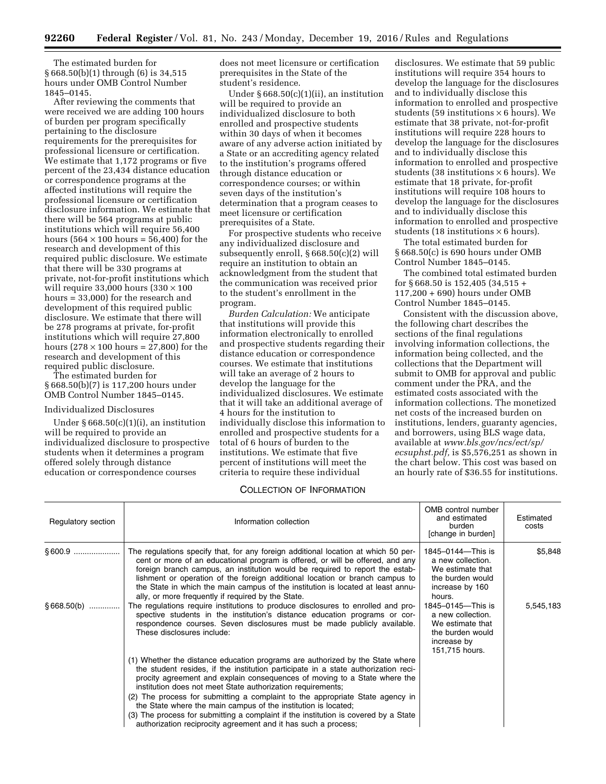The estimated burden for § 668.50(b)(1) through (6) is 34,515 hours under OMB Control Number 1845–0145.

After reviewing the comments that were received we are adding 100 hours of burden per program specifically pertaining to the disclosure requirements for the prerequisites for professional licensure or certification. We estimate that 1,172 programs or five percent of the 23,434 distance education or correspondence programs at the affected institutions will require the professional licensure or certification disclosure information. We estimate that there will be 564 programs at public institutions which will require 56,400 hours  $(564 \times 100 \text{ hours} = 56,400)$  for the research and development of this required public disclosure. We estimate that there will be 330 programs at private, not-for-profit institutions which will require  $33,000$  hours  $(330 \times 100)$ hours = 33,000) for the research and development of this required public disclosure. We estimate that there will be 278 programs at private, for-profit institutions which will require 27,800 hours  $(278 \times 100 \text{ hours} = 27,800)$  for the research and development of this required public disclosure.

The estimated burden for § 668.50(b)(7) is 117,200 hours under OMB Control Number 1845–0145.

## Individualized Disclosures

Under § 668.50(c)(1)(i), an institution will be required to provide an individualized disclosure to prospective students when it determines a program offered solely through distance education or correspondence courses

does not meet licensure or certification prerequisites in the State of the student's residence.

Under  $§ 668.50(c)(1)(ii)$ , an institution will be required to provide an individualized disclosure to both enrolled and prospective students within 30 days of when it becomes aware of any adverse action initiated by a State or an accrediting agency related to the institution's programs offered through distance education or correspondence courses; or within seven days of the institution's determination that a program ceases to meet licensure or certification prerequisites of a State.

For prospective students who receive any individualized disclosure and subsequently enroll, § 668.50(c)(2) will require an institution to obtain an acknowledgment from the student that the communication was received prior to the student's enrollment in the program.

*Burden Calculation:* We anticipate that institutions will provide this information electronically to enrolled and prospective students regarding their distance education or correspondence courses. We estimate that institutions will take an average of 2 hours to develop the language for the individualized disclosures. We estimate that it will take an additional average of 4 hours for the institution to individually disclose this information to enrolled and prospective students for a total of 6 hours of burden to the institutions. We estimate that five percent of institutions will meet the criteria to require these individual

## COLLECTION OF INFORMATION

disclosures. We estimate that 59 public institutions will require 354 hours to develop the language for the disclosures and to individually disclose this information to enrolled and prospective students (59 institutions  $\times$  6 hours). We estimate that 38 private, not-for-profit institutions will require 228 hours to develop the language for the disclosures and to individually disclose this information to enrolled and prospective students (38 institutions  $\times$  6 hours). We estimate that 18 private, for-profit institutions will require 108 hours to develop the language for the disclosures and to individually disclose this information to enrolled and prospective students (18 institutions  $\times$  6 hours).

The total estimated burden for § 668.50(c) is 690 hours under OMB Control Number 1845–0145.

The combined total estimated burden for § 668.50 is 152,405 (34,515 + 117,200 + 690) hours under OMB Control Number 1845–0145.

Consistent with the discussion above, the following chart describes the sections of the final regulations involving information collections, the information being collected, and the collections that the Department will submit to OMB for approval and public comment under the PRA, and the estimated costs associated with the information collections. The monetized net costs of the increased burden on institutions, lenders, guaranty agencies, and borrowers, using BLS wage data, available at *[www.bls.gov/ncs/ect/sp/](http://www.bls.gov/ncs/ect/sp/ecsuphst.pdf) [ecsuphst.pdf,](http://www.bls.gov/ncs/ect/sp/ecsuphst.pdf)* is \$5,576,251 as shown in the chart below. This cost was based on an hourly rate of \$36.55 for institutions.

| Regulatory section | Information collection                                                                                                                                                                                                                                                                                                                                                                                                                                                                                                                                                                                                      | OMB control number<br>and estimated<br>burden<br>[change in burden]                                             | Estimated<br>costs |
|--------------------|-----------------------------------------------------------------------------------------------------------------------------------------------------------------------------------------------------------------------------------------------------------------------------------------------------------------------------------------------------------------------------------------------------------------------------------------------------------------------------------------------------------------------------------------------------------------------------------------------------------------------------|-----------------------------------------------------------------------------------------------------------------|--------------------|
| § 600.9            | The regulations specify that, for any foreign additional location at which 50 per-<br>cent or more of an educational program is offered, or will be offered, and any<br>foreign branch campus, an institution would be required to report the estab-<br>lishment or operation of the foreign additional location or branch campus to<br>the State in which the main campus of the institution is located at least annu-<br>ally, or more frequently if required by the State.                                                                                                                                               | 1845–0144—This is<br>a new collection.<br>We estimate that<br>the burden would<br>increase by 160<br>hours.     | \$5,848            |
| $§668.50(b)$       | The regulations require institutions to produce disclosures to enrolled and pro-<br>spective students in the institution's distance education programs or cor-<br>respondence courses. Seven disclosures must be made publicly available.<br>These disclosures include:                                                                                                                                                                                                                                                                                                                                                     | 1845-0145-This is<br>a new collection.<br>We estimate that<br>the burden would<br>increase by<br>151,715 hours. | 5,545,183          |
|                    | (1) Whether the distance education programs are authorized by the State where<br>the student resides, if the institution participate in a state authorization reci-<br>procity agreement and explain consequences of moving to a State where the<br>institution does not meet State authorization requirements;<br>(2) The process for submitting a complaint to the appropriate State agency in<br>the State where the main campus of the institution is located;<br>(3) The process for submitting a complaint if the institution is covered by a State<br>authorization reciprocity agreement and it has such a process; |                                                                                                                 |                    |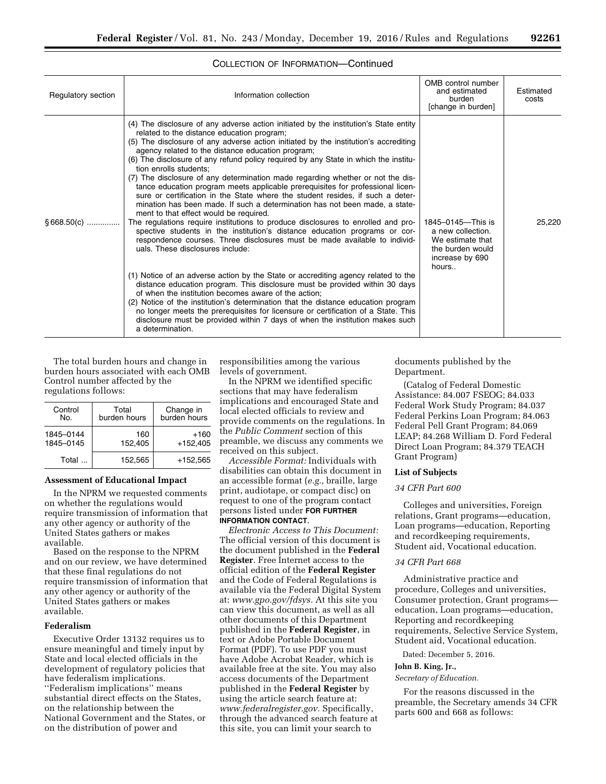| Regulatory section | Information collection                                                                                                                                                                                                                                                                                                                                                                                                                                                                                                                                                                                                                                                                                                                                                                                                                                                                                                                                                                                                                                                                                                                                                                                                                                                                                                                                                                                                                                                                                                                                                      | OMB control number<br>and estimated<br>burden<br>[change in burden]                                        | Estimated<br>costs |
|--------------------|-----------------------------------------------------------------------------------------------------------------------------------------------------------------------------------------------------------------------------------------------------------------------------------------------------------------------------------------------------------------------------------------------------------------------------------------------------------------------------------------------------------------------------------------------------------------------------------------------------------------------------------------------------------------------------------------------------------------------------------------------------------------------------------------------------------------------------------------------------------------------------------------------------------------------------------------------------------------------------------------------------------------------------------------------------------------------------------------------------------------------------------------------------------------------------------------------------------------------------------------------------------------------------------------------------------------------------------------------------------------------------------------------------------------------------------------------------------------------------------------------------------------------------------------------------------------------------|------------------------------------------------------------------------------------------------------------|--------------------|
| $§668.50(c)$       | (4) The disclosure of any adverse action initiated by the institution's State entity<br>related to the distance education program;<br>(5) The disclosure of any adverse action initiated by the institution's accrediting<br>agency related to the distance education program;<br>(6) The disclosure of any refund policy required by any State in which the institu-<br>tion enrolls students;<br>(7) The disclosure of any determination made regarding whether or not the dis-<br>tance education program meets applicable prerequisites for professional licen-<br>sure or certification in the State where the student resides, if such a deter-<br>mination has been made. If such a determination has not been made, a state-<br>ment to that effect would be required.<br>The regulations require institutions to produce disclosures to enrolled and pro-<br>spective students in the institution's distance education programs or cor-<br>respondence courses. Three disclosures must be made available to individ-<br>uals. These disclosures include:<br>(1) Notice of an adverse action by the State or accrediting agency related to the<br>distance education program. This disclosure must be provided within 30 days<br>of when the institution becomes aware of the action;<br>(2) Notice of the institution's determination that the distance education program<br>no longer meets the prerequisites for licensure or certification of a State. This<br>disclosure must be provided within 7 days of when the institution makes such<br>a determination. | 1845-0145-This is<br>a new collection.<br>We estimate that<br>the burden would<br>increase by 690<br>hours | 25.220             |

## COLLECTION OF INFORMATION—Continued

The total burden hours and change in burden hours associated with each OMB Control number affected by the regulations follows:

| Control<br>N٥.         | Total<br>burden hours | Change in<br>burden hours |
|------------------------|-----------------------|---------------------------|
| 1845-0144<br>1845-0145 | 160<br>152,405        | $+160$<br>$+152.405$      |
| Total                  | 152.565               | +152.565                  |

## **Assessment of Educational Impact**

In the NPRM we requested comments on whether the regulations would require transmission of information that any other agency or authority of the United States gathers or makes available.

Based on the response to the NPRM and on our review, we have determined that these final regulations do not require transmission of information that any other agency or authority of the United States gathers or makes available.

## **Federalism**

Executive Order 13132 requires us to ensure meaningful and timely input by State and local elected officials in the development of regulatory policies that have federalism implications. ''Federalism implications'' means substantial direct effects on the States, on the relationship between the National Government and the States, or on the distribution of power and

responsibilities among the various levels of government.

In the NPRM we identified specific sections that may have federalism implications and encouraged State and local elected officials to review and provide comments on the regulations. In the *Public Comment* section of this preamble, we discuss any comments we received on this subject.

*Accessible Format:* Individuals with disabilities can obtain this document in an accessible format (*e.g.,* braille, large print, audiotape, or compact disc) on request to one of the program contact persons listed under **FOR FURTHER INFORMATION CONTACT**.

*Electronic Access to This Document:*  The official version of this document is the document published in the **Federal Register**. Free Internet access to the official edition of the **Federal Register**  and the Code of Federal Regulations is available via the Federal Digital System at: *[www.gpo.gov/fdsys.](http://www.gpo.gov/fdsys)* At this site you can view this document, as well as all other documents of this Department published in the **Federal Register**, in text or Adobe Portable Document Format (PDF). To use PDF you must have Adobe Acrobat Reader, which is available free at the site. You may also access documents of the Department published in the **Federal Register** by using the article search feature at: *[www.federalregister.gov.](http://www.federalregister.gov)* Specifically, through the advanced search feature at this site, you can limit your search to

documents published by the Department.

(Catalog of Federal Domestic Assistance: 84.007 FSEOG; 84.033 Federal Work Study Program; 84.037 Federal Perkins Loan Program; 84.063 Federal Pell Grant Program; 84.069 LEAP; 84.268 William D. Ford Federal Direct Loan Program; 84.379 TEACH Grant Program)

### **List of Subjects**

# *34 CFR Part 600*

Colleges and universities, Foreign relations, Grant programs—education, Loan programs—education, Reporting and recordkeeping requirements, Student aid, Vocational education.

#### *34 CFR Part 668*

Administrative practice and procedure, Colleges and universities, Consumer protection, Grant programs education, Loan programs—education, Reporting and recordkeeping requirements, Selective Service System, Student aid, Vocational education.

Dated: December 5, 2016.

#### **John B. King, Jr.,**

*Secretary of Education.* 

For the reasons discussed in the preamble, the Secretary amends 34 CFR parts 600 and 668 as follows: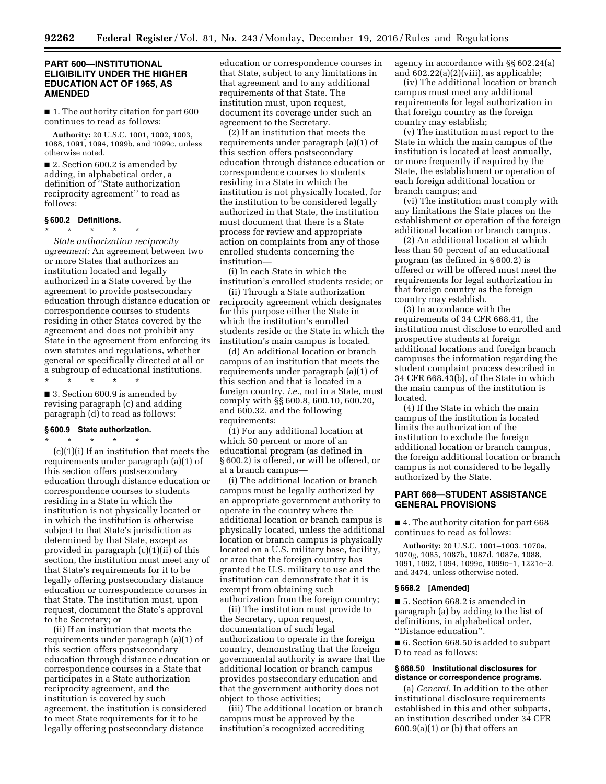## **PART 600—INSTITUTIONAL ELIGIBILITY UNDER THE HIGHER EDUCATION ACT OF 1965, AS AMENDED**

■ 1. The authority citation for part 600 continues to read as follows:

**Authority:** 20 U.S.C. 1001, 1002, 1003, 1088, 1091, 1094, 1099b, and 1099c, unless otherwise noted.

■ 2. Section 600.2 is amended by adding, in alphabetical order, a definition of ''State authorization reciprocity agreement'' to read as follows:

### **§ 600.2 Definitions.**

\* \* \* \* \* *State authorization reciprocity agreement:* An agreement between two or more States that authorizes an institution located and legally authorized in a State covered by the agreement to provide postsecondary education through distance education or correspondence courses to students residing in other States covered by the agreement and does not prohibit any State in the agreement from enforcing its own statutes and regulations, whether general or specifically directed at all or a subgroup of educational institutions.

\* \* \* \* \*

■ 3. Section 600.9 is amended by revising paragraph (c) and adding paragraph (d) to read as follows:

## **§ 600.9 State authorization.**

\* \* \* \* \*  $(c)(1)(i)$  If an institution that meets the requirements under paragraph (a)(1) of this section offers postsecondary education through distance education or correspondence courses to students residing in a State in which the institution is not physically located or in which the institution is otherwise subject to that State's jurisdiction as determined by that State, except as provided in paragraph (c)(1)(ii) of this section, the institution must meet any of that State's requirements for it to be legally offering postsecondary distance education or correspondence courses in that State. The institution must, upon request, document the State's approval to the Secretary; or

(ii) If an institution that meets the requirements under paragraph (a)(1) of this section offers postsecondary education through distance education or correspondence courses in a State that participates in a State authorization reciprocity agreement, and the institution is covered by such agreement, the institution is considered to meet State requirements for it to be legally offering postsecondary distance

education or correspondence courses in that State, subject to any limitations in that agreement and to any additional requirements of that State. The institution must, upon request, document its coverage under such an agreement to the Secretary.

(2) If an institution that meets the requirements under paragraph (a)(1) of this section offers postsecondary education through distance education or correspondence courses to students residing in a State in which the institution is not physically located, for the institution to be considered legally authorized in that State, the institution must document that there is a State process for review and appropriate action on complaints from any of those enrolled students concerning the institution—

(i) In each State in which the institution's enrolled students reside; or

(ii) Through a State authorization reciprocity agreement which designates for this purpose either the State in which the institution's enrolled students reside or the State in which the institution's main campus is located.

(d) An additional location or branch campus of an institution that meets the requirements under paragraph (a)(1) of this section and that is located in a foreign country, *i.e.,* not in a State, must comply with §§ 600.8, 600.10, 600.20, and 600.32, and the following requirements:

(1) For any additional location at which 50 percent or more of an educational program (as defined in § 600.2) is offered, or will be offered, or at a branch campus—

(i) The additional location or branch campus must be legally authorized by an appropriate government authority to operate in the country where the additional location or branch campus is physically located, unless the additional location or branch campus is physically located on a U.S. military base, facility, or area that the foreign country has granted the U.S. military to use and the institution can demonstrate that it is exempt from obtaining such authorization from the foreign country;

(ii) The institution must provide to the Secretary, upon request, documentation of such legal authorization to operate in the foreign country, demonstrating that the foreign governmental authority is aware that the additional location or branch campus provides postsecondary education and that the government authority does not object to those activities;

(iii) The additional location or branch campus must be approved by the institution's recognized accrediting

agency in accordance with §§ 602.24(a) and 602.22(a)(2)(viii), as applicable;

(iv) The additional location or branch campus must meet any additional requirements for legal authorization in that foreign country as the foreign country may establish;

(v) The institution must report to the State in which the main campus of the institution is located at least annually, or more frequently if required by the State, the establishment or operation of each foreign additional location or branch campus; and

(vi) The institution must comply with any limitations the State places on the establishment or operation of the foreign additional location or branch campus.

(2) An additional location at which less than 50 percent of an educational program (as defined in § 600.2) is offered or will be offered must meet the requirements for legal authorization in that foreign country as the foreign country may establish.

(3) In accordance with the requirements of 34 CFR 668.41, the institution must disclose to enrolled and prospective students at foreign additional locations and foreign branch campuses the information regarding the student complaint process described in 34 CFR 668.43(b), of the State in which the main campus of the institution is located.

(4) If the State in which the main campus of the institution is located limits the authorization of the institution to exclude the foreign additional location or branch campus, the foreign additional location or branch campus is not considered to be legally authorized by the State.

# **PART 668—STUDENT ASSISTANCE GENERAL PROVISIONS**

■ 4. The authority citation for part 668 continues to read as follows:

**Authority:** 20 U.S.C. 1001–1003, 1070a, 1070g, 1085, 1087b, 1087d, 1087e, 1088, 1091, 1092, 1094, 1099c, 1099c–1, 1221e–3, and 3474, unless otherwise noted.

## **§ 668.2 [Amended]**

■ 5. Section 668.2 is amended in paragraph (a) by adding to the list of definitions, in alphabetical order, ''Distance education''.

■ 6. Section 668.50 is added to subpart D to read as follows:

### **§ 668.50 Institutional disclosures for distance or correspondence programs.**

(a) *General.* In addition to the other institutional disclosure requirements established in this and other subparts, an institution described under 34 CFR  $600.9(a)(1)$  or (b) that offers an